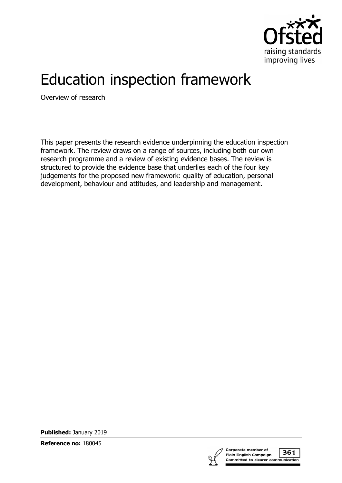

# Education inspection framework

Overview of research

This paper presents the research evidence underpinning the education inspection framework. The review draws on a range of sources, including both our own research programme and a review of existing evidence bases. The review is structured to provide the evidence base that underlies each of the four key judgements for the proposed new framework: quality of education, personal development, behaviour and attitudes, and leadership and management.

**Published:** January 2019

**Reference no:** 180045

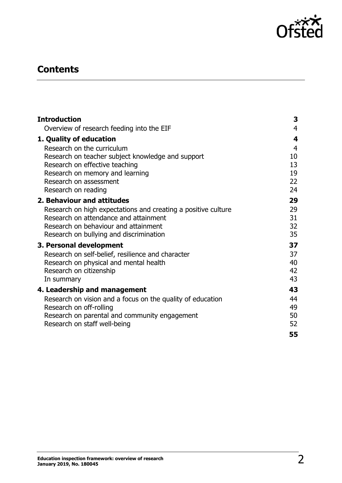

# **Contents**

| <b>Introduction</b>                                           | 3              |
|---------------------------------------------------------------|----------------|
| Overview of research feeding into the EIF                     | $\overline{4}$ |
| 1. Quality of education                                       | 4              |
| Research on the curriculum                                    | $\overline{4}$ |
| Research on teacher subject knowledge and support             | 10             |
| Research on effective teaching                                | 13             |
| Research on memory and learning                               | 19             |
| Research on assessment                                        | 22             |
| Research on reading                                           | 24             |
| 2. Behaviour and attitudes                                    | 29             |
| Research on high expectations and creating a positive culture | 29             |
| Research on attendance and attainment                         | 31             |
| Research on behaviour and attainment                          | 32             |
| Research on bullying and discrimination                       | 35             |
| 3. Personal development                                       | 37             |
| Research on self-belief, resilience and character             | 37             |
| Research on physical and mental health                        | 40             |
| Research on citizenship                                       | 42             |
| In summary                                                    | 43             |
| 4. Leadership and management                                  | 43             |
| Research on vision and a focus on the quality of education    | 44             |
| Research on off-rolling                                       | 49             |
| Research on parental and community engagement                 | 50             |
| Research on staff well-being                                  | 52             |
|                                                               | 55             |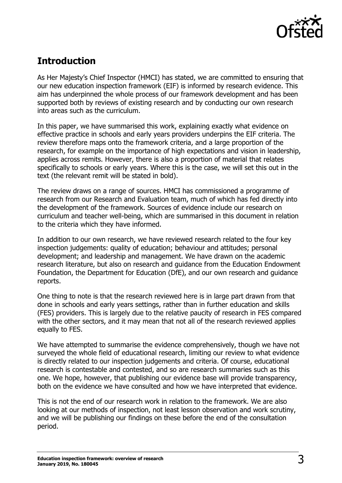

# <span id="page-2-0"></span>**Introduction**

As Her Majesty's Chief Inspector (HMCI) has stated, we are committed to ensuring that our new education inspection framework (EIF) is informed by research evidence. This aim has underpinned the whole process of our framework development and has been supported both by reviews of existing research and by conducting our own research into areas such as the curriculum.

In this paper, we have summarised this work, explaining exactly what evidence on effective practice in schools and early years providers underpins the EIF criteria. The review therefore maps onto the framework criteria, and a large proportion of the research, for example on the importance of high expectations and vision in leadership, applies across remits. However, there is also a proportion of material that relates specifically to schools or early years. Where this is the case, we will set this out in the text (the relevant remit will be stated in bold).

The review draws on a range of sources. HMCI has commissioned a programme of research from our Research and Evaluation team, much of which has fed directly into the development of the framework. Sources of evidence include our research on curriculum and teacher well-being, which are summarised in this document in relation to the criteria which they have informed.

In addition to our own research, we have reviewed research related to the four key inspection judgements: quality of education; behaviour and attitudes; personal development; and leadership and management. We have drawn on the academic research literature, but also on research and guidance from the Education Endowment Foundation, the Department for Education (DfE), and our own research and guidance reports.

One thing to note is that the research reviewed here is in large part drawn from that done in schools and early years settings, rather than in further education and skills (FES) providers. This is largely due to the relative paucity of research in FES compared with the other sectors, and it may mean that not all of the research reviewed applies equally to FES.

We have attempted to summarise the evidence comprehensively, though we have not surveyed the whole field of educational research, limiting our review to what evidence is directly related to our inspection judgements and criteria. Of course, educational research is contestable and contested, and so are research summaries such as this one. We hope, however, that publishing our evidence base will provide transparency, both on the evidence we have consulted and how we have interpreted that evidence.

This is not the end of our research work in relation to the framework. We are also looking at our methods of inspection, not least lesson observation and work scrutiny, and we will be publishing our findings on these before the end of the consultation period.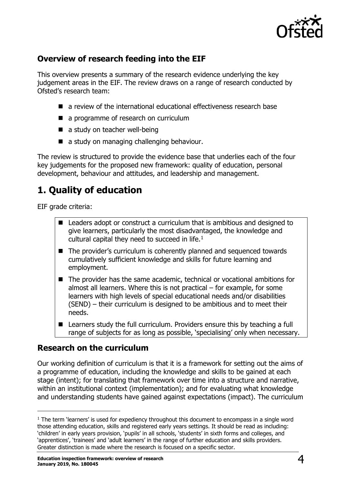

# <span id="page-3-0"></span>**Overview of research feeding into the EIF**

This overview presents a summary of the research evidence underlying the key judgement areas in the EIF. The review draws on a range of research conducted by Ofsted's research team:

- a review of the international educational effectiveness research base
- a programme of research on curriculum
- a study on teacher well-being
- a study on managing challenging behaviour.

The review is structured to provide the evidence base that underlies each of the four key judgements for the proposed new framework: quality of education, personal development, behaviour and attitudes, and leadership and management.

# <span id="page-3-1"></span>**1. Quality of education**

EIF grade criteria:

- Leaders adopt or construct a curriculum that is ambitious and designed to give learners, particularly the most disadvantaged, the knowledge and cultural capital they need to succeed in life. $<sup>1</sup>$  $<sup>1</sup>$  $<sup>1</sup>$ </sup>
- The provider's curriculum is coherently planned and sequenced towards cumulatively sufficient knowledge and skills for future learning and employment.
- The provider has the same academic, technical or vocational ambitions for almost all learners. Where this is not practical – for example, for some learners with high levels of special educational needs and/or disabilities (SEND) – their curriculum is designed to be ambitious and to meet their needs.
- Learners study the full curriculum. Providers ensure this by teaching a full range of subjects for as long as possible, 'specialising' only when necessary.

# <span id="page-3-2"></span>**Research on the curriculum**

Our working definition of curriculum is that it is a framework for setting out the aims of a programme of education, including the knowledge and skills to be gained at each stage (intent); for translating that framework over time into a structure and narrative, within an institutional context (implementation); and for evaluating what knowledge and understanding students have gained against expectations (impact). The curriculum

<span id="page-3-3"></span> $1$  The term 'learners' is used for expediency throughout this document to encompass in a single word those attending education, skills and registered early years settings. It should be read as including: 'children' in early years provision, 'pupils' in all schools, 'students' in sixth forms and colleges, and 'apprentices', 'trainees' and 'adult learners' in the range of further education and skills providers. Greater distinction is made where the research is focused on a specific sector.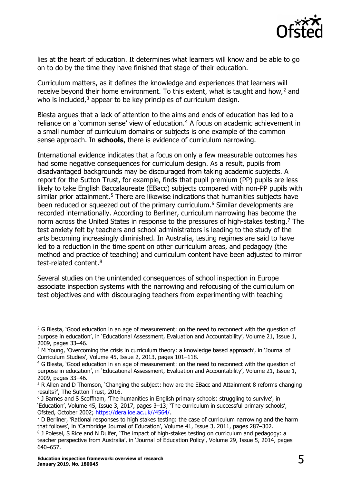

lies at the heart of education. It determines what learners will know and be able to go on to do by the time they have finished that stage of their education.

Curriculum matters, as it defines the knowledge and experiences that learners will receive beyond their home environment. To this extent, what is taught and how, $2$  and who is included, $3$  appear to be key principles of curriculum design.

Biesta argues that a lack of attention to the aims and ends of education has led to a reliance on a 'common sense' view of education. $4$  A focus on academic achievement in a small number of curriculum domains or subjects is one example of the common sense approach. In **schools**, there is evidence of curriculum narrowing.

International evidence indicates that a focus on only a few measurable outcomes has had some negative consequences for curriculum design. As a result, pupils from disadvantaged backgrounds may be discouraged from taking academic subjects. A report for the Sutton Trust, for example, finds that pupil premium (PP) pupils are less likely to take English Baccalaureate (EBacc) subjects compared with non-PP pupils with similar prior attainment.<sup>[5](#page-4-3)</sup> There are likewise indications that humanities subjects have been reduced or squeezed out of the primary curriculum.<sup>[6](#page-4-4)</sup> Similar developments are recorded internationally. According to Berliner, curriculum narrowing has become the norm across the United States in response to the pressures of high-stakes testing.<sup>[7](#page-4-5)</sup> The test anxiety felt by teachers and school administrators is leading to the study of the arts becoming increasingly diminished. In Australia, testing regimes are said to have led to a reduction in the time spent on other curriculum areas, and pedagogy (the method and practice of teaching) and curriculum content have been adjusted to mirror test-related content.[8](#page-4-6)

Several studies on the unintended consequences of school inspection in Europe associate inspection systems with the narrowing and refocusing of the curriculum on test objectives and with discouraging teachers from experimenting with teaching

<span id="page-4-0"></span> $2$  G Biesta, 'Good education in an age of measurement: on the need to reconnect with the question of purpose in education', in 'Educational Assessment, Evaluation and Accountability', Volume 21, Issue 1, 2009, pages 33–46.

<span id="page-4-1"></span><sup>&</sup>lt;sup>3</sup> M Young, 'Overcoming the crisis in curriculum theory: a knowledge based approach', in 'Journal of Curriculum Studies', Volume 45, Issue 2, 2013, pages 101–118.

<span id="page-4-2"></span><sup>4</sup> G Biesta, 'Good education in an age of measurement: on the need to reconnect with the question of purpose in education', in 'Educational Assessment, Evaluation and Accountability', Volume 21, Issue 1, 2009, pages 33–46.

<span id="page-4-3"></span> $5$  R Allen and D Thomson, 'Changing the subject: how are the EBacc and Attainment 8 reforms changing results?', The Sutton Trust, 2016.

<span id="page-4-4"></span><sup>&</sup>lt;sup>6</sup> J Barnes and S Scoffham, 'The humanities in English primary schools: struggling to survive', in 'Education', Volume 45, Issue 3, 2017, pages 3–13; 'The curriculum in successful primary schools', Ofsted, October 2002; [https://dera.ioe.ac.uk//4564/.](https://dera.ioe.ac.uk/4564/)

<span id="page-4-5"></span> $7$  D Berliner, 'Rational responses to high stakes testing: the case of curriculum narrowing and the harm that follows', in 'Cambridge Journal of Education', Volume 41, Issue 3, 2011, pages 287–302.

<span id="page-4-6"></span><sup>8</sup> J Polesel, S Rice and N Dulfer, 'The impact of high-stakes testing on curriculum and pedagogy: a teacher perspective from Australia', in 'Journal of Education Policy', Volume 29, Issue 5, 2014, pages 640–657.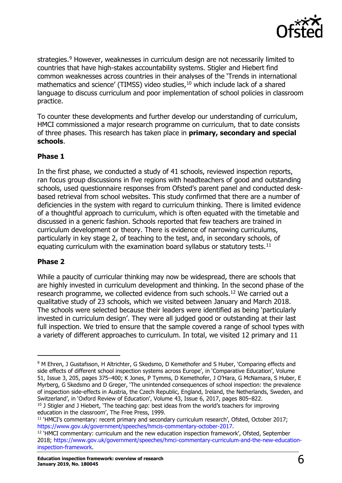

strategies.<sup>[9](#page-5-0)</sup> However, weaknesses in curriculum design are not necessarily limited to countries that have high-stakes accountability systems. Stigler and Hiebert find common weaknesses across countries in their analyses of the 'Trends in international mathematics and science' (TIMSS) video studies, $10$  which include lack of a shared language to discuss curriculum and poor implementation of school policies in classroom practice.

To counter these developments and further develop our understanding of curriculum, HMCI commissioned a major research programme on curriculum, that to date consists of three phases. This research has taken place in **primary, secondary and special schools**.

#### **Phase 1**

In the first phase, we conducted a study of 41 schools, reviewed inspection reports, ran focus group discussions in five regions with headteachers of good and outstanding schools, used questionnaire responses from Ofsted's parent panel and conducted deskbased retrieval from school websites. This study confirmed that there are a number of deficiencies in the system with regard to curriculum thinking. There is limited evidence of a thoughtful approach to curriculum, which is often equated with the timetable and discussed in a generic fashion. Schools reported that few teachers are trained in curriculum development or theory. There is evidence of narrowing curriculums, particularly in key stage 2, of teaching to the test, and, in secondary schools, of equating curriculum with the examination board syllabus or statutory tests. $11$ 

#### **Phase 2**

While a paucity of curricular thinking may now be widespread, there are schools that are highly invested in curriculum development and thinking. In the second phase of the research programme, we collected evidence from such schools.[12](#page-5-3) We carried out a qualitative study of 23 schools, which we visited between January and March 2018. The schools were selected because their leaders were identified as being 'particularly invested in curriculum design'. They were all judged good or outstanding at their last full inspection. We tried to ensure that the sample covered a range of school types with a variety of different approaches to curriculum. In total, we visited 12 primary and 11

<span id="page-5-0"></span><sup>9</sup> M Ehren, J Gustafsson, H Altrichter, G Skedsmo, D Kemethofer and S Huber, 'Comparing effects and side effects of different school inspection systems across Europe', in 'Comparative Education', Volume 51, Issue 3, 205, pages 375–400; K Jones, P Tymms, D Kemethofer, J O'Hara, G McNamara, S Huber, E Myrberg, G Skedsmo and D Greger, 'The unintended consequences of school inspection: the prevalence of inspection side-effects in Austria, the Czech Republic, England, Ireland, the Netherlands, Sweden, and Switzerland', in 'Oxford Review of Education', Volume 43, Issue 6, 2017, pages 805–822.

<span id="page-5-1"></span> $10$  J Stigler and J Hiebert, 'The teaching gap: best ideas from the world's teachers for improving education in the classroom', The Free Press, 1999.

<span id="page-5-2"></span><sup>11</sup> 'HMCI's commentary: recent primary and secondary curriculum research', Ofsted, October 2017; [https://www.gov.uk/government/speeches/hmcis-commentary-october-2017.](https://www.gov.uk/government/speeches/hmcis-commentary-october-2017)

<span id="page-5-3"></span><sup>12</sup> 'HMCI commentary: curriculum and the new education inspection framework', Ofsted, September 2018; [https://www.gov.uk/government/speeches/hmci-commentary-curriculum-and-the-new-education](https://www.gov.uk/government/speeches/hmci-commentary-curriculum-and-the-new-education-inspection-framework)[inspection-framework.](https://www.gov.uk/government/speeches/hmci-commentary-curriculum-and-the-new-education-inspection-framework)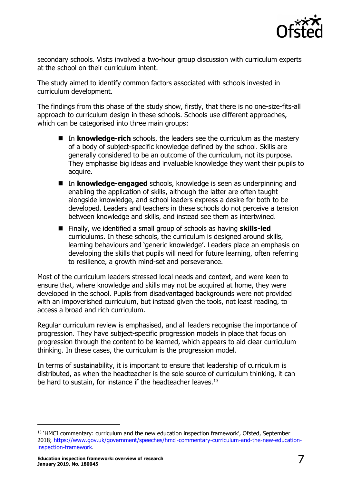

secondary schools. Visits involved a two-hour group discussion with curriculum experts at the school on their curriculum intent.

The study aimed to identify common factors associated with schools invested in curriculum development.

The findings from this phase of the study show, firstly, that there is no one-size-fits-all approach to curriculum design in these schools. Schools use different approaches, which can be categorised into three main groups:

- In **knowledge-rich** schools, the leaders see the curriculum as the mastery of a body of subject-specific knowledge defined by the school. Skills are generally considered to be an outcome of the curriculum, not its purpose. They emphasise big ideas and invaluable knowledge they want their pupils to acquire.
- In **knowledge-engaged** schools, knowledge is seen as underpinning and enabling the application of skills, although the latter are often taught alongside knowledge, and school leaders express a desire for both to be developed. Leaders and teachers in these schools do not perceive a tension between knowledge and skills, and instead see them as intertwined.
- Finally, we identified a small group of schools as having **skills-led** curriculums. In these schools, the curriculum is designed around skills, learning behaviours and 'generic knowledge'. Leaders place an emphasis on developing the skills that pupils will need for future learning, often referring to resilience, a growth mind-set and perseverance.

Most of the curriculum leaders stressed local needs and context, and were keen to ensure that, where knowledge and skills may not be acquired at home, they were developed in the school. Pupils from disadvantaged backgrounds were not provided with an impoverished curriculum, but instead given the tools, not least reading, to access a broad and rich curriculum.

Regular curriculum review is emphasised, and all leaders recognise the importance of progression. They have subject-specific progression models in place that focus on progression through the content to be learned, which appears to aid clear curriculum thinking. In these cases, the curriculum is the progression model.

In terms of sustainability, it is important to ensure that leadership of curriculum is distributed, as when the headteacher is the sole source of curriculum thinking, it can be hard to sustain, for instance if the headteacher leaves.<sup>[13](#page-6-0)</sup>

<span id="page-6-0"></span><sup>&</sup>lt;sup>13</sup> 'HMCI commentary: curriculum and the new education inspection framework', Ofsted, September 2018; [https://www.gov.uk/government/speeches/hmci-commentary-curriculum-and-the-new-education](https://www.gov.uk/government/speeches/hmci-commentary-curriculum-and-the-new-education-inspection-framework)[inspection-framework.](https://www.gov.uk/government/speeches/hmci-commentary-curriculum-and-the-new-education-inspection-framework)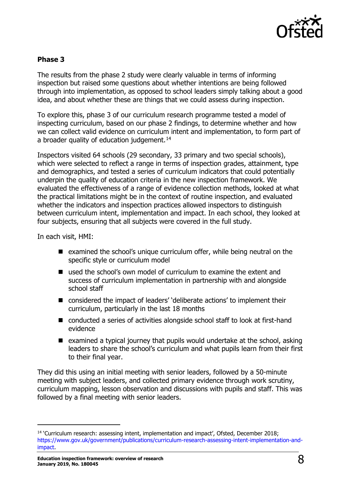

#### **Phase 3**

The results from the phase 2 study were clearly valuable in terms of informing inspection but raised some questions about whether intentions are being followed through into implementation, as opposed to school leaders simply talking about a good idea, and about whether these are things that we could assess during inspection.

To explore this, phase 3 of our curriculum research programme tested a model of inspecting curriculum, based on our phase 2 findings, to determine whether and how we can collect valid evidence on curriculum intent and implementation, to form part of a broader quality of education judgement.<sup>[14](#page-7-0)</sup>

Inspectors visited 64 schools (29 secondary, 33 primary and two special schools), which were selected to reflect a range in terms of inspection grades, attainment, type and demographics, and tested a series of curriculum indicators that could potentially underpin the quality of education criteria in the new inspection framework. We evaluated the effectiveness of a range of evidence collection methods, looked at what the practical limitations might be in the context of routine inspection, and evaluated whether the indicators and inspection practices allowed inspectors to distinguish between curriculum intent, implementation and impact. In each school, they looked at four subjects, ensuring that all subjects were covered in the full study.

In each visit, HMI:

- $\blacksquare$  examined the school's unique curriculum offer, while being neutral on the specific style or curriculum model
- used the school's own model of curriculum to examine the extent and success of curriculum implementation in partnership with and alongside school staff
- considered the impact of leaders' 'deliberate actions' to implement their curriculum, particularly in the last 18 months
- conducted a series of activities alongside school staff to look at first-hand evidence
- $\blacksquare$  examined a typical journey that pupils would undertake at the school, asking leaders to share the school's curriculum and what pupils learn from their first to their final year.

They did this using an initial meeting with senior leaders, followed by a 50-minute meeting with subject leaders, and collected primary evidence through work scrutiny, curriculum mapping, lesson observation and discussions with pupils and staff. This was followed by a final meeting with senior leaders.

<span id="page-7-0"></span><sup>14</sup> 'Curriculum research: assessing intent, implementation and impact', Ofsted, December 2018; [https://www.gov.uk/government/publications/curriculum-research-assessing-intent-implementation-and](https://www.gov.uk/government/publications/curriculum-research-assessing-intent-implementation-and-impact)[impact.](https://www.gov.uk/government/publications/curriculum-research-assessing-intent-implementation-and-impact)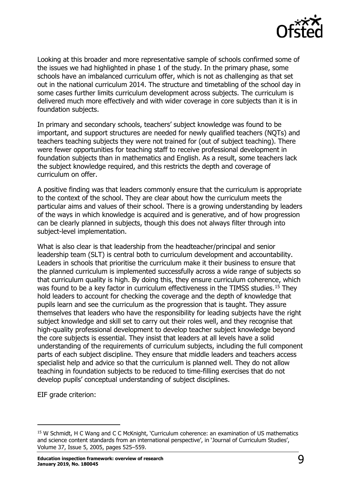

Looking at this broader and more representative sample of schools confirmed some of the issues we had highlighted in phase 1 of the study. In the primary phase, some schools have an imbalanced curriculum offer, which is not as challenging as that set out in the national curriculum 2014. The structure and timetabling of the school day in some cases further limits curriculum development across subjects. The curriculum is delivered much more effectively and with wider coverage in core subjects than it is in foundation subjects.

In primary and secondary schools, teachers' subject knowledge was found to be important, and support structures are needed for newly qualified teachers (NQTs) and teachers teaching subjects they were not trained for (out of subject teaching). There were fewer opportunities for teaching staff to receive professional development in foundation subjects than in mathematics and English. As a result, some teachers lack the subject knowledge required, and this restricts the depth and coverage of curriculum on offer.

A positive finding was that leaders commonly ensure that the curriculum is appropriate to the context of the school. They are clear about how the curriculum meets the particular aims and values of their school. There is a growing understanding by leaders of the ways in which knowledge is acquired and is generative, and of how progression can be clearly planned in subjects, though this does not always filter through into subject-level implementation.

What is also clear is that leadership from the headteacher/principal and senior leadership team (SLT) is central both to curriculum development and accountability. Leaders in schools that prioritise the curriculum make it their business to ensure that the planned curriculum is implemented successfully across a wide range of subjects so that curriculum quality is high. By doing this, they ensure curriculum coherence, which was found to be a key factor in curriculum effectiveness in the TIMSS studies.<sup>[15](#page-8-0)</sup> They hold leaders to account for checking the coverage and the depth of knowledge that pupils learn and see the curriculum as the progression that is taught. They assure themselves that leaders who have the responsibility for leading subjects have the right subject knowledge and skill set to carry out their roles well, and they recognise that high-quality professional development to develop teacher subject knowledge beyond the core subjects is essential. They insist that leaders at all levels have a solid understanding of the requirements of curriculum subjects, including the full component parts of each subject discipline. They ensure that middle leaders and teachers access specialist help and advice so that the curriculum is planned well. They do not allow teaching in foundation subjects to be reduced to time-filling exercises that do not develop pupils' conceptual understanding of subject disciplines.

EIF grade criterion:

<span id="page-8-0"></span><sup>15</sup> W Schmidt, H C Wang and C C McKnight, 'Curriculum coherence: an examination of US mathematics and science content standards from an international perspective', in 'Journal of Curriculum Studies', Volume 37, Issue 5, 2005, pages 525–559.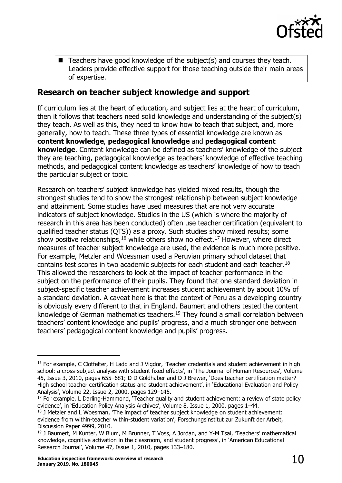

 $\blacksquare$  Teachers have good knowledge of the subject(s) and courses they teach. Leaders provide effective support for those teaching outside their main areas of expertise.

# <span id="page-9-0"></span>**Research on teacher subject knowledge and support**

If curriculum lies at the heart of education, and subject lies at the heart of curriculum, then it follows that teachers need solid knowledge and understanding of the subject(s) they teach. As well as this, they need to know how to teach that subject, and, more generally, how to teach. These three types of essential knowledge are known as **content knowledge**, **pedagogical knowledge** and **pedagogical content knowledge**. Content knowledge can be defined as teachers' knowledge of the subject they are teaching, pedagogical knowledge as teachers' knowledge of effective teaching methods, and pedagogical content knowledge as teachers' knowledge of how to teach the particular subject or topic.

Research on teachers' subject knowledge has yielded mixed results, though the strongest studies tend to show the strongest relationship between subject knowledge and attainment. Some studies have used measures that are not very accurate indicators of subject knowledge. Studies in the US (which is where the majority of research in this area has been conducted) often use teacher certification (equivalent to qualified teacher status (QTS)) as a proxy. Such studies show mixed results; some show positive relationships,  $16$  while others show no effect.<sup>[17](#page-9-2)</sup> However, where direct measures of teacher subject knowledge are used, the evidence is much more positive. For example, Metzler and Woessman used a Peruvian primary school dataset that contains test scores in two academic subjects for each student and each teacher.[18](#page-9-3) This allowed the researchers to look at the impact of teacher performance in the subject on the performance of their pupils. They found that one standard deviation in subject-specific teacher achievement increases student achievement by about 10% of a standard deviation. A caveat here is that the context of Peru as a developing country is obviously every different to that in England. Baumert and others tested the content knowledge of German mathematics teachers.<sup>[19](#page-9-4)</sup> They found a small correlation between teachers' content knowledge and pupils' progress, and a much stronger one between teachers' pedagogical content knowledge and pupils' progress.

<span id="page-9-1"></span><sup>&</sup>lt;sup>16</sup> For example, C Clotfelter, H Ladd and J Vigdor, 'Teacher credentials and student achievement in high school: a cross-subject analysis with student fixed effects', in 'The Journal of Human Resources', Volume 45, Issue 3, 2010, pages 655–681; D D Goldhaber and D J Brewer, 'Does teacher certification matter? High school teacher certification status and student achievement', in 'Educational Evaluation and Policy Analysis', Volume 22, Issue 2, 2000, pages 129–145.

<span id="page-9-2"></span> $17$  For example, L Darling-Hammond, Teacher quality and student achievement: a review of state policy evidence', in 'Education Policy Analysis Archives', Volume 8, Issue 1, 2000, pages 1–44.

<span id="page-9-3"></span><sup>&</sup>lt;sup>18</sup> J Metzler and L Woesman, 'The impact of teacher subject knowledge on student achievement: evidence from within-teacher within-student variation', Forschungsinstitut zur Zukunft der Arbeit, Discussion Paper 4999, 2010.

<span id="page-9-4"></span><sup>&</sup>lt;sup>19</sup> J Baumert, M Kunter, W Blum, M Brunner, T Voss, A Jordan, and Y-M Tsai, 'Teachers' mathematical knowledge, cognitive activation in the classroom, and student progress', in 'American Educational Research Journal', Volume 47, Issue 1, 2010, pages 133–180.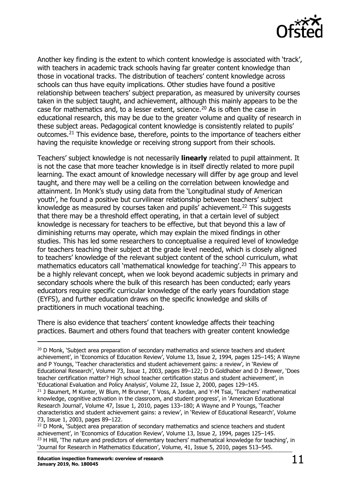

Another key finding is the extent to which content knowledge is associated with 'track', with teachers in academic track schools having far greater content knowledge than those in vocational tracks. The distribution of teachers' content knowledge across schools can thus have equity implications. Other studies have found a positive relationship between teachers' subject preparation, as measured by university courses taken in the subject taught, and achievement, although this mainly appears to be the case for mathematics and, to a lesser extent, science.<sup>[20](#page-10-0)</sup> As is often the case in educational research, this may be due to the greater volume and quality of research in these subject areas. Pedagogical content knowledge is consistently related to pupils' outcomes.[21](#page-10-1) This evidence base, therefore, points to the importance of teachers either having the requisite knowledge or receiving strong support from their schools.

Teachers' subject knowledge is not necessarily **linearly** related to pupil attainment. It is not the case that more teacher knowledge is in itself directly related to more pupil learning. The exact amount of knowledge necessary will differ by age group and level taught, and there may well be a ceiling on the correlation between knowledge and attainment. In Monk's study using data from the 'Longitudinal study of American youth', he found a positive but curvilinear relationship between teachers' subject knowledge as measured by courses taken and pupils' achievement.<sup>[22](#page-10-2)</sup> This suggests that there may be a threshold effect operating, in that a certain level of subject knowledge is necessary for teachers to be effective, but that beyond this a law of diminishing returns may operate, which may explain the mixed findings in other studies. This has led some researchers to conceptualise a required level of knowledge for teachers teaching their subject at the grade level needed, which is closely aligned to teachers' knowledge of the relevant subject content of the school curriculum, what mathematics educators call 'mathematical knowledge for teaching'.<sup>[23](#page-10-3)</sup> This appears to be a highly relevant concept, when we look beyond academic subjects in primary and secondary schools where the bulk of this research has been conducted; early years educators require specific curricular knowledge of the early years foundation stage (EYFS), and further education draws on the specific knowledge and skills of practitioners in much vocational teaching.

There is also evidence that teachers' content knowledge affects their teaching practices. Baumert and others found that teachers with greater content knowledge

<span id="page-10-0"></span><sup>&</sup>lt;sup>20</sup> D Monk, 'Subject area preparation of secondary mathematics and science teachers and student achievement', in 'Economics of Education Review', Volume 13, Issue 2, 1994, pages 125–145; A Wayne and P Youngs, 'Teacher characteristics and student achievement gains: a review', in 'Review of Educational Research', Volume 73, Issue 1, 2003, pages 89–122; D D Goldhaber and D J Brewer, 'Does teacher certification matter? High school teacher certification status and student achievement', in 'Educational Evaluation and Policy Analysis', Volume 22, Issue 2, 2000, pages 129–145.

<span id="page-10-1"></span><sup>&</sup>lt;sup>21</sup> J Baumert, M Kunter, W Blum, M Brunner, T Voss, A Jordan, and Y-M Tsai, 'Teachers' mathematical knowledge, cognitive activation in the classroom, and student progress', in 'American Educational Research Journal', Volume 47, Issue 1, 2010, pages 133–180; A Wayne and P Youngs, 'Teacher characteristics and student achievement gains: a review', in 'Review of Educational Research', Volume 73, Issue 1, 2003, pages 89–122.

<span id="page-10-3"></span><span id="page-10-2"></span> $22$  D Monk, 'Subject area preparation of secondary mathematics and science teachers and student achievement', in 'Economics of Education Review', Volume 13, Issue 2, 1994, pages 125–145.  $23$  H Hill, 'The nature and predictors of elementary teachers' mathematical knowledge for teaching', in 'Journal for Research in Mathematics Education', Volume, 41, Issue 5, 2010, pages 513–545.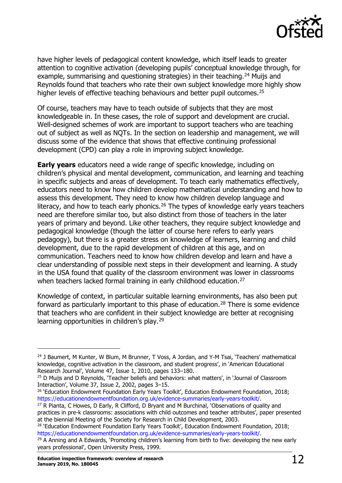

have higher levels of pedagogical content knowledge, which itself leads to greater attention to cognitive activation (developing pupils' conceptual knowledge through, for example, summarising and questioning strategies) in their teaching.<sup>[24](#page-11-0)</sup> Muijs and Reynolds found that teachers who rate their own subject knowledge more highly show higher levels of effective teaching behaviours and better pupil outcomes.<sup>[25](#page-11-1)</sup>

Of course, teachers may have to teach outside of subjects that they are most knowledgeable in. In these cases, the role of support and development are crucial. Well-designed schemes of work are important to support teachers who are teaching out of subject as well as NQTs. In the section on leadership and management, we will discuss some of the evidence that shows that effective continuing professional development (CPD) can play a role in improving subject knowledge.

**Early years** educators need a wide range of specific knowledge, including on children's physical and mental development, communication, and learning and teaching in specific subjects and areas of development. To teach early mathematics effectively, educators need to know how children develop mathematical understanding and how to assess this development. They need to know how children develop language and literacy, and how to teach early phonics.<sup>[26](#page-11-2)</sup> The types of knowledge early years teachers need are therefore similar too, but also distinct from those of teachers in the later years of primary and beyond. Like other teachers, they require subject knowledge and pedagogical knowledge (though the latter of course here refers to early years pedagogy), but there is a greater stress on knowledge of learners, learning and child development, due to the rapid development of children at this age, and on communication. Teachers need to know how children develop and learn and have a clear understanding of possible next steps in their development and learning. A study in the USA found that quality of the classroom environment was lower in classrooms when teachers lacked formal training in early childhood education.<sup>[27](#page-11-3)</sup>

Knowledge of context, in particular suitable learning environments, has also been put forward as particularly important to this phase of education.<sup>[28](#page-11-4)</sup> There is some evidence that teachers who are confident in their subject knowledge are better at recognising learning opportunities in children's play.<sup>[29](#page-11-5)</sup>

<span id="page-11-0"></span><sup>&</sup>lt;sup>24</sup> J Baumert, M Kunter, W Blum, M Brunner, T Voss, A Jordan, and Y-M Tsai, 'Teachers' mathematical knowledge, cognitive activation in the classroom, and student progress', in 'American Educational Research Journal', Volume 47, Issue 1, 2010, pages 133–180.

<span id="page-11-1"></span><sup>&</sup>lt;sup>25</sup> D Muijs and D Reynolds, 'Teacher beliefs and behaviors: what matters', in 'Journal of Classroom Interaction', Volume 37, Issue 2, 2002, pages 3–15.

<span id="page-11-2"></span><sup>&</sup>lt;sup>26</sup> 'Education Endowment Foundation Early Years Toolkit', Education Endowment Foundation, 2018; [https://educationendowmentfoundation.org.uk/evidence-summaries/early-years-toolkit/.](https://educationendowmentfoundation.org.uk/evidence-summaries/early-years-toolkit/)

<span id="page-11-3"></span> $27$  R Pianta, C Howes, D Early, R Clifford, D Bryant and M Burchinal, Observations of quality and practices in pre-k classrooms: associations with child outcomes and teacher attributes', paper presented at the biennial Meeting of the Society for Research in Child Development, 2003.

<span id="page-11-4"></span><sup>&</sup>lt;sup>28</sup> 'Education Endowment Foundation Early Years Toolkit', Education Endowment Foundation, 2018; [https://educationendowmentfoundation.org.uk/evidence-summaries/early-years-toolkit/.](https://educationendowmentfoundation.org.uk/evidence-summaries/early-years-toolkit/)

<span id="page-11-5"></span> $29$  A Anning and A Edwards, 'Promoting children's learning from birth to five: developing the new early years professional', Open University Press, 1999.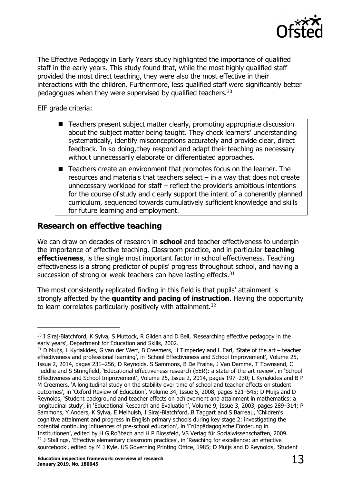

The Effective Pedagogy in Early Years study highlighted the importance of qualified staff in the early years. This study found that, while the most highly qualified staff provided the most direct teaching, they were also the most effective in their interactions with the children. Furthermore, less qualified staff were significantly better pedagogues when they were supervised by qualified teachers.<sup>30</sup>

EIF grade criteria:

- Teachers present subject matter clearly, promoting appropriate discussion about the subject matter being taught. They check learners' understanding systematically, identify misconceptions accurately and provide clear, direct feedback. In so doing, they respond and adapt their teaching as necessary without unnecessarily elaborate or differentiated approaches.
- Teachers create an environment that promotes focus on the learner. The resources and materials that teachers select – in a way that does not create unnecessary workload for staff – reflect the provider's ambitious intentions for the course of study and clearly support the intent of a coherently planned curriculum, sequenced towards cumulatively sufficient knowledge and skills for future learning and employment.

# <span id="page-12-0"></span>**Research on effective teaching**

We can draw on decades of research in **school** and teacher effectiveness to underpin the importance of effective teaching. Classroom practice, and in particular **teaching effectiveness**, is the single most important factor in school effectiveness. Teaching effectiveness is a strong predictor of pupils' progress throughout school, and having a succession of strong or weak teachers can have lasting effects. $31$ 

The most consistently replicated finding in this field is that pupils' attainment is strongly affected by the **quantity and pacing of instruction**. Having the opportunity to learn correlates particularly positively with attainment.<sup>[32](#page-12-3)</sup>

<span id="page-12-1"></span><sup>30</sup> I Siraj-Blatchford, K Sylva, S Muttock, R Gilden and D Bell, 'Researching effective pedagogy in the early years', Department for Education and Skills, 2002.

<span id="page-12-3"></span><span id="page-12-2"></span> $31$  D Muijs, L Kyriakides, G van der Werf, B Creemers, H Timperley and L Earl, 'State of the art – teacher effectiveness and professional learning', in 'School Effectiveness and School Improvement', Volume 25, Issue 2, 2014, pages 231–256; D Reynolds, S Sammons, B De Fraine, J Van Damme, T Townsend, C Teddlie and S Stringfield, 'Educational effectiveness research (EER): a state-of-the-art review', in 'School Effectiveness and School Improvement', Volume 25, Issue 2, 2014, pages 197–230; L Kyriakides and B P M Creemers, 'A longitudinal study on the stability over time of school and teacher effects on student outcomes', in 'Oxford Review of Education', Volume 34, Issue 5, 2008, pages 521–545; D Muijs and D Reynolds, 'Student background and teacher effects on achievement and attainment in mathematics: a longitudinal study', in 'Educational Research and Evaluation', Volume 9, Issue 3, 2003, pages 289–314; P Sammons, Y Anders, K Sylva, E Melhuish, I Siraj-Blatchford, B Taggart and S Barreau, 'Children's cognitive attainment and progress in English primary schools during key stage 2: investigating the potential continuing influences of pre-school education', in 'Frühpädagogische Förderung in Institutionen', edited by H G Roßbach and H P Blossfeld, VS Verlag für Sozialwissenschaften, 2009. <sup>32</sup> J Stallings, 'Effective elementary classroom practices', in 'Reaching for excellence: an effective sourcebook', edited by M J Kyle, US Governing Printing Office, 1985; D Muijs and D Reynolds, 'Student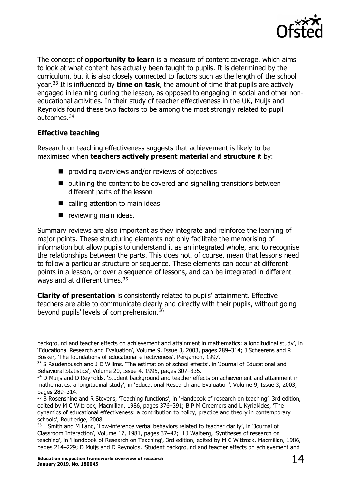

The concept of **opportunity to learn** is a measure of content coverage, which aims to look at what content has actually been taught to pupils. It is determined by the curriculum, but it is also closely connected to factors such as the length of the school year.[33](#page-13-0) It is influenced by **time on task**, the amount of time that pupils are actively engaged in learning during the lesson, as opposed to engaging in social and other noneducational activities. In their study of teacher effectiveness in the UK, Muijs and Reynolds found these two factors to be among the most strongly related to pupil outcomes.[34](#page-13-1)

#### **Effective teaching**

Research on teaching effectiveness suggests that achievement is likely to be maximised when **teachers actively present material** and **structure** it by:

- **providing overviews and/or reviews of objectives**
- $\blacksquare$  outlining the content to be covered and signalling transitions between different parts of the lesson
- calling attention to main ideas
- $\blacksquare$  reviewing main ideas.

Summary reviews are also important as they integrate and reinforce the learning of major points. These structuring elements not only facilitate the memorising of information but allow pupils to understand it as an integrated whole, and to recognise the relationships between the parts. This does not, of course, mean that lessons need to follow a particular structure or sequence. These elements can occur at different points in a lesson, or over a sequence of lessons, and can be integrated in different ways and at different times.<sup>[35](#page-13-2)</sup>

**Clarity of presentation** is consistently related to pupils' attainment. Effective teachers are able to communicate clearly and directly with their pupils, without going beyond pupils' levels of comprehension.<sup>[36](#page-13-3)</sup>

background and teacher effects on achievement and attainment in mathematics: a longitudinal study', in 'Educational Research and Evaluation', Volume 9, Issue 3, 2003, pages 289–314; J Scheerens and R Bosker, 'The foundations of educational effectiveness', Pergamon, 1997.

<span id="page-13-0"></span><sup>33</sup> S Raudenbusch and J D Willms, 'The estimation of school effects', in 'Journal of Educational and Behavioral Statistics', Volume 20, Issue 4, 1995, pages 307–335.

<span id="page-13-1"></span><sup>&</sup>lt;sup>34</sup> D Muijs and D Reynolds, 'Student background and teacher effects on achievement and attainment in mathematics: a longitudinal study', in 'Educational Research and Evaluation', Volume 9, Issue 3, 2003, pages 289–314.

<span id="page-13-2"></span> $35\overline{B}$  Rosenshine and R Stevens, 'Teaching functions', in 'Handbook of research on teaching', 3rd edition, edited by M C Wittrock, Macmillan, 1986, pages 376–391; B P M Creemers and L Kyriakides, 'The dynamics of educational effectiveness: a contribution to policy, practice and theory in contemporary schools', Routledge, 2008.

<span id="page-13-3"></span><sup>&</sup>lt;sup>36</sup> L Smith and M Land, 'Low-inference verbal behaviors related to teacher clarity', in 'Journal of Classroom Interaction', Volume 17, 1981, pages 37–42; H J Walberg, 'Syntheses of research on teaching', in 'Handbook of Research on Teaching', 3rd edition, edited by M C Wittrock, Macmillan, 1986, pages 214–229; D Muijs and D Reynolds, 'Student background and teacher effects on achievement and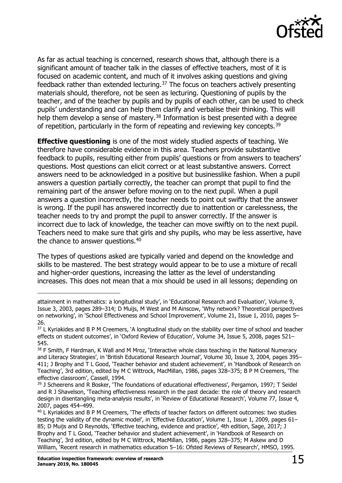

As far as actual teaching is concerned, research shows that, although there is a significant amount of teacher talk in the classes of effective teachers, most of it is focused on academic content, and much of it involves asking questions and giving feedback rather than extended lecturing. $37$  The focus on teachers actively presenting materials should, therefore, not be seen as lecturing. Questioning of pupils by the teacher, and of the teacher by pupils and by pupils of each other, can be used to check pupils' understanding and can help them clarify and verbalise their thinking. This will help them develop a sense of mastery.<sup>[38](#page-14-1)</sup> Information is best presented with a degree of repetition, particularly in the form of repeating and reviewing key concepts.<sup>[39](#page-14-2)</sup>

**Effective questioning** is one of the most widely studied aspects of teaching. We therefore have considerable evidence in this area. Teachers provide substantive feedback to pupils, resulting either from pupils' questions or from answers to teachers' questions. Most questions can elicit correct or at least substantive answers. Correct answers need to be acknowledged in a positive but businesslike fashion. When a pupil answers a question partially correctly, the teacher can prompt that pupil to find the remaining part of the answer before moving on to the next pupil. When a pupil answers a question incorrectly, the teacher needs to point out swiftly that the answer is wrong. If the pupil has answered incorrectly due to inattention or carelessness, the teacher needs to try and prompt the pupil to answer correctly. If the answer is incorrect due to lack of knowledge, the teacher can move swiftly on to the next pupil. Teachers need to make sure that girls and shy pupils, who may be less assertive, have the chance to answer questions.<sup>[40](#page-14-3)</sup>

The types of questions asked are typically varied and depend on the knowledge and skills to be mastered. The best strategy would appear to be to use a mixture of recall and higher-order questions, increasing the latter as the level of understanding increases. This does not mean that a mix should be used in all lessons; depending on

attainment in mathematics: a longitudinal study', in 'Educational Research and Evaluation', Volume 9, Issue 3, 2003, pages 289–314; D Muijs, M West and M Ainscow, 'Why network? Theoretical perspectives on networking', in 'School Effectiveness and School Improvement', Volume 21, Issue 1, 2010, pages 5– 26.

<span id="page-14-0"></span><sup>&</sup>lt;sup>37</sup> L Kyriakides and B P M Creemers, 'A longitudinal study on the stability over time of school and teacher effects on student outcomes', in 'Oxford Review of Education', Volume 34, Issue 5, 2008, pages 521– 545.

<span id="page-14-1"></span><sup>&</sup>lt;sup>38</sup> F Smith, F Hardman, K Wall and M Mroz, 'Interactive whole class teaching in the National Numeracy and Literacy Strategies', in 'British Educational Research Journal', Volume 30, Issue 3, 2004, pages 395– 411; J Brophy and T L Good, 'Teacher behavior and student achievement', in 'Handbook of Research on Teaching', 3rd edition, edited by M C Wittrock, MacMillan, 1986, pages 328–375; B P M Creemers, 'The effective classroom', Cassell, 1994.

<span id="page-14-2"></span><sup>&</sup>lt;sup>39</sup> J Scheerens and R Bosker, 'The foundations of educational effectiveness', Pergamon, 1997; T Seidel and R J Shavelson, 'Teaching effectiveness research in the past decade: the role of theory and research design in disentangling meta-analysis results', in 'Review of Educational Research', Volume 77, Issue 4, 2007, pages 454–499.

<span id="page-14-3"></span><sup>&</sup>lt;sup>40</sup> L Kyriakides and B P M Creemers, 'The effects of teacher factors on different outcomes: two studies testing the validity of the dynamic model', in 'Effective Education', Volume 1, Issue 1, 2009, pages 61– 85; D Muijs and D Reynolds, 'Effective teaching, evidence and practice', 4th edition, Sage, 2017; J Brophy and T L Good, 'Teacher behavior and student achievement', in 'Handbook of Research on Teaching', 3rd edition, edited by M C Wittrock, MacMillan, 1986, pages 328–375; M Askew and D William, 'Recent research in mathematics education 5–16: Ofsted Reviews of Research', HMSO, 1995.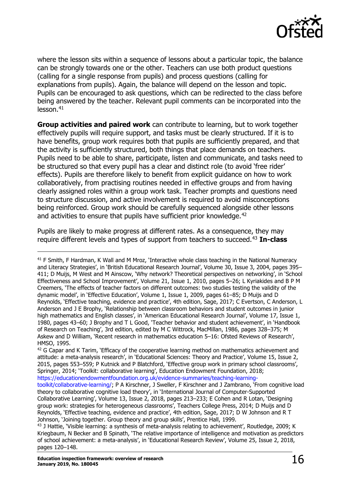

where the lesson sits within a sequence of lessons about a particular topic, the balance can be strongly towards one or the other. Teachers can use both product questions (calling for a single response from pupils) and process questions (calling for explanations from pupils). Again, the balance will depend on the lesson and topic. Pupils can be encouraged to ask questions, which can be redirected to the class before being answered by the teacher. Relevant pupil comments can be incorporated into the lesson.[41](#page-15-0)

**Group activities and paired work** can contribute to learning, but to work together effectively pupils will require support, and tasks must be clearly structured. If it is to have benefits, group work requires both that pupils are sufficiently prepared, and that the activity is sufficiently structured, both things that place demands on teachers. Pupils need to be able to share, participate, listen and communicate, and tasks need to be structured so that every pupil has a clear and distinct role (to avoid 'free rider' effects). Pupils are therefore likely to benefit from explicit guidance on how to work collaboratively, from practising routines needed in effective groups and from having clearly assigned roles within a group work task. Teacher prompts and questions need to structure discussion, and active involvement is required to avoid misconceptions being reinforced. Group work should be carefully sequenced alongside other lessons and activities to ensure that pupils have sufficient prior knowledge.<sup>[42](#page-15-1)</sup>

Pupils are likely to make progress at different rates. As a consequence, they may require different levels and types of support from teachers to succeed.[43](#page-15-2) **In-class** 

<span id="page-15-0"></span><sup>&</sup>lt;sup>41</sup> F Smith, F Hardman, K Wall and M Mroz, 'Interactive whole class teaching in the National Numeracy and Literacy Strategies', in 'British Educational Research Journal', Volume 30, Issue 3, 2004, pages 395– 411; D Muijs, M West and M Ainscow, 'Why network? Theoretical perspectives on networking', in 'School Effectiveness and School Improvement', Volume 21, Issue 1, 2010, pages 5–26; L Kyriakides and B P M Creemers, 'The effects of teacher factors on different outcomes: two studies testing the validity of the dynamic model', in 'Effective Education', Volume 1, Issue 1, 2009, pages 61–85; D Muijs and D Reynolds, 'Effective teaching, evidence and practice', 4th edition, Sage, 2017; C Evertson, C Anderson, L Anderson and J E Brophy, 'Relationship between classroom behaviors and student outcomes in junior high mathematics and English classes', in 'American Educational Research Journal', Volume 17, Issue 1, 1980, pages 43–60; J Brophy and T L Good, 'Teacher behavior and student achievement', in 'Handbook of Research on Teaching', 3rd edition, edited by M C Wittrock, MacMillan, 1986, pages 328–375; M Askew and D William, 'Recent research in mathematics education 5–16: Ofsted Reviews of Research', HMSO, 1995.

<span id="page-15-1"></span> $42$  G Capar and K Tarim, 'Efficacy of the cooperative learning method on mathematics achievement and attitude: a meta-analysis research', in 'Educational Sciences: Theory and Practice', Volume 15, Issue 2, 2015, pages 553–559; P Kutnick and P Blatchford, 'Effective group work in primary school classrooms', Springer, 2014; 'Toolkit: collaborative learning', Education Endowment Foundation, 2018; [https://educationendowmentfoundation.org.uk/evidence-summaries/teaching-learning-](https://educationendowmentfoundation.org.uk/evidence-summaries/teaching-learning-toolkit/collaborative-learning/)

[toolkit/collaborative-learning/;](https://educationendowmentfoundation.org.uk/evidence-summaries/teaching-learning-toolkit/collaborative-learning/) P A Kirschner, J Sweller, F Kirschner and J Zambrano, 'From cognitive load theory to collaborative cognitive load theory', in 'International Journal of Computer-Supported Collaborative Learning', Volume 13, Issue 2, 2018, pages 213–233; E Cohen and R Lotan, 'Designing group work: strategies for heterogeneous classrooms', Teachers College Press, 2014; D Muijs and D Reynolds, 'Effective teaching, evidence and practice', 4th edition, Sage, 2017; D W Johnson and R T Johnson, 'Joining together. Group theory and group skills', Prentice Hall, 1999.

<span id="page-15-2"></span><sup>&</sup>lt;sup>43</sup> J Hattie, 'Visible learning: a synthesis of meta-analysis relating to achievement', Routledge, 2009; K Kriegbaum, N Becker and B Spinath, 'The relative importance of intelligence and motivation as predictors of school achievement: a meta-analysis', in 'Educational Research Review', Volume 25, Issue 2, 2018, pages 120–148.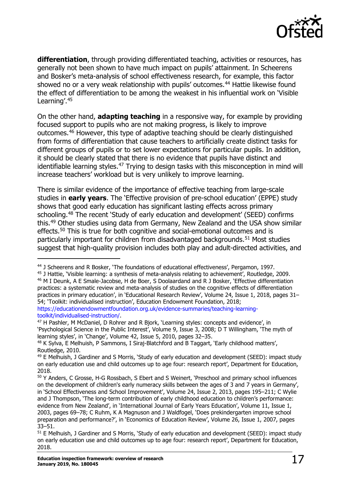

differentiation, through providing differentiated teaching, activities or resources, has generally not been shown to have much impact on pupils' attainment. In Scheerens and Bosker's meta-analysis of school effectiveness research, for example, this factor showed no or a very weak relationship with pupils' outcomes.<sup>[44](#page-16-0)</sup> Hattie likewise found the effect of differentiation to be among the weakest in his influential work on 'Visible Learning'[.45](#page-16-1)

On the other hand, **adapting teaching** in a responsive way, for example by providing focused support to pupils who are not making progress, is likely to improve outcomes.[46](#page-16-2) However, this type of adaptive teaching should be clearly distinguished from forms of differentiation that cause teachers to artificially create distinct tasks for different groups of pupils or to set lower expectations for particular pupils. In addition, it should be clearly stated that there is no evidence that pupils have distinct and identifiable learning styles.<sup>[47](#page-16-3)</sup> Trying to design tasks with this misconception in mind will increase teachers' workload but is very unlikely to improve learning.

There is similar evidence of the importance of effective teaching from large-scale studies in **early years**. The 'Effective provision of pre-school education' (EPPE) study shows that good early education has significant lasting effects across primary schooling.[48](#page-16-4) The recent 'Study of early education and development' (SEED) confirms this.[49](#page-16-5) Other studies using data from Germany, New Zealand and the USA show similar effects.<sup>[50](#page-16-6)</sup> This is true for both cognitive and social-emotional outcomes and is particularly important for children from disadvantaged backgrounds.<sup>[51](#page-16-7)</sup> Most studies suggest that high-quality provision includes both play and adult-directed activities, and

<span id="page-16-0"></span><sup>&</sup>lt;sup>44</sup> J Scheerens and R Bosker, 'The foundations of educational effectiveness', Pergamon, 1997.

<span id="page-16-2"></span><span id="page-16-1"></span><sup>45</sup> J Hattie, 'Visible learning: a synthesis of meta-analysis relating to achievement', Routledge, 2009. <sup>46</sup> M I Deunk, A E Smale-Jacobse, H de Boer, S Doolaardand and R J Bosker, 'Effective differentiation practices: a systematic review and meta-analysis of studies on the cognitive effects of differentiation practices in primary education', in 'Educational Research Review', Volume 24, Issue 1, 2018, pages 31– 54; 'Toolkit: individualised instruction', Education Endowment Foundation, 2018; [https://educationendowmentfoundation.org.uk/evidence-summaries/teaching-learning](https://educationendowmentfoundation.org.uk/evidence-summaries/teaching-learning-toolkit/individualised-instruction/)[toolkit/individualised-instruction/.](https://educationendowmentfoundation.org.uk/evidence-summaries/teaching-learning-toolkit/individualised-instruction/)

<span id="page-16-3"></span><sup>&</sup>lt;sup>47</sup> H Pashler, M McDaniel, D Rohrer and R Bjork, 'Learning styles: concepts and evidence', in 'Psychological Science in the Public Interest', Volume 9, Issue 3, 2008; D T Willingham, 'The myth of learning styles', in 'Change', Volume 42, Issue 5, 2010, pages 32–35.

<span id="page-16-4"></span><sup>48</sup> K Sylva, E Melhuish, P Sammons, I Siraj-Blatchford and B Taggart, 'Early childhood matters', Routledge, 2010.

<span id="page-16-5"></span><sup>&</sup>lt;sup>49</sup> E Melhuish, J Gardiner and S Morris, 'Study of early education and development (SEED): impact study on early education use and child outcomes up to age four: research report', Department for Education, 2018.

<span id="page-16-6"></span><sup>50</sup> Y Anders, C Grosse, H-G Rossbach, S Ebert and S Weinert, 'Preschool and primary school influences on the development of children's early numeracy skills between the ages of 3 and 7 years in Germany', in 'School Effectiveness and School Improvement', Volume 24, Issue 2, 2013, pages 195–211; C Wylie and J Thompson, 'The long-term contribution of early childhood education to children's performance: evidence from New Zealand', in 'International Journal of Early Years Education', Volume 11, Issue 1, 2003, pages 69–78; C Ruhm, K A Magnuson and J Waldfogel, 'Does prekindergarten improve school preparation and performance?', in 'Economics of Education Review', Volume 26, Issue 1, 2007, pages 33–51.

<span id="page-16-7"></span><sup>51</sup> E Melhuish, J Gardiner and S Morris, 'Study of early education and development (SEED): impact study on early education use and child outcomes up to age four: research report', Department for Education, 2018.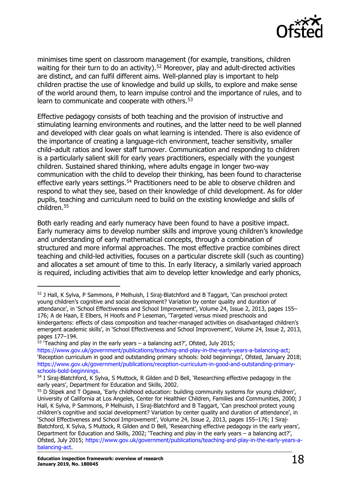

minimises time spent on classroom management (for example, transitions, children waiting for their turn to do an activity).<sup>[52](#page-17-0)</sup> Moreover, play and adult-directed activities are distinct, and can fulfil different aims. Well-planned play is important to help children practise the use of knowledge and build up skills, to explore and make sense of the world around them, to learn impulse control and the importance of rules, and to learn to communicate and cooperate with others.<sup>[53](#page-17-1)</sup>

Effective pedagogy consists of both teaching and the provision of instructive and stimulating learning environments and routines, and the latter need to be well planned and developed with clear goals on what learning is intended. There is also evidence of the importance of creating a language-rich environment, teacher sensitivity, smaller child–adult ratios and lower staff turnover. Communication and responding to children is a particularly salient skill for early years practitioners, especially with the youngest children. Sustained shared thinking, where adults engage in longer two-way communication with the child to develop their thinking, has been found to characterise effective early years settings.<sup>[54](#page-17-2)</sup> Practitioners need to be able to observe children and respond to what they see, based on their knowledge of child development. As for older pupils, teaching and curriculum need to build on the existing knowledge and skills of children.[55](#page-17-3)

Both early reading and early numeracy have been found to have a positive impact. Early numeracy aims to develop number skills and improve young children's knowledge and understanding of early mathematical concepts, through a combination of structured and more informal approaches. The most effective practice combines direct teaching and child-led activities, focuses on a particular discrete skill (such as counting) and allocates a set amount of time to this. In early literacy, a similarly varied approach is required, including activities that aim to develop letter knowledge and early phonics,

<span id="page-17-0"></span><sup>&</sup>lt;sup>52</sup> J Hall, K Sylva, P Sammons, P Melhuish, I Sirai-Blatchford and B Taggart, 'Can preschool protect young children's cognitive and social development? Variation by center quality and duration of attendance', in 'School Effectiveness and School Improvement', Volume 24, Issue 2, 2013, pages 155– 176; A de Haan, E Elbers, H Hoofs and P Leseman, 'Targeted versus mixed preschools and kindergartens: effects of class composition and teacher-managed activities on disadvantaged children's emergent academic skills', in 'School Effectiveness and School Improvement', Volume 24, Issue 2, 2013, pages 177–194.

 $53$  'Teaching and play in the early years – a balancing act?', Ofsted, July 2015;

<span id="page-17-1"></span>[https://www.gov.uk/government/publications/teaching-and-play-in-the-early-years-a-balancing-act;](https://www.gov.uk/government/publications/teaching-and-play-in-the-early-years-a-balancing-act) 'Reception curriculum in good and outstanding primary schools: bold beginnings', Ofsted, January 2018; [https://www.gov.uk/government/publications/reception-curriculum-in-good-and-outstanding-primary](https://www.gov.uk/government/publications/reception-curriculum-in-good-and-outstanding-primary-schools-bold-beginnings)[schools-bold-beginnings.](https://www.gov.uk/government/publications/reception-curriculum-in-good-and-outstanding-primary-schools-bold-beginnings)

<span id="page-17-2"></span><sup>54</sup> I Siraj-Blatchford, K Sylva, S Muttock, R Gilden and D Bell, 'Researching effective pedagogy in the early years', Department for Education and Skills, 2002.

<span id="page-17-3"></span><sup>&</sup>lt;sup>55</sup> D Stipek and T Ogawa, 'Early childhood education: building community systems for young children', University of California at Los Angeles, Center for Healthier Children, Families and Communities, 2000; J Hall, K Sylva, P Sammons, P Melhuish, I Siraj-Blatchford and B Taggart, 'Can preschool protect young children's cognitive and social development? Variation by center quality and duration of attendance', in 'School Effectiveness and School Improvement', Volume 24, Issue 2, 2013, pages 155–176; I Siraj-Blatchford, K Sylva, S Muttock, R Gilden and D Bell, 'Researching effective pedagogy in the early years', Department for Education and Skills, 2002; 'Teaching and play in the early years – a balancing act?', Ofsted, July 2015; [https://www.gov.uk/government/publications/teaching-and-play-in-the-early-years-a](https://www.gov.uk/government/publications/teaching-and-play-in-the-early-years-a-balancing-act)[balancing-act.](https://www.gov.uk/government/publications/teaching-and-play-in-the-early-years-a-balancing-act)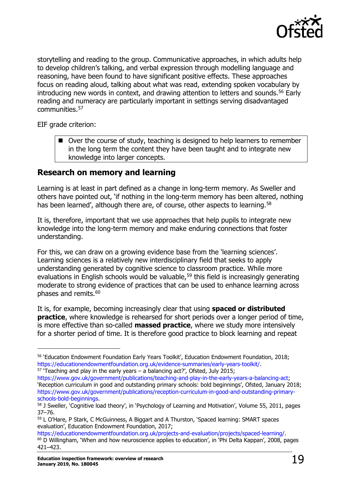

storytelling and reading to the group. Communicative approaches, in which adults help to develop children's talking, and verbal expression through modelling language and reasoning, have been found to have significant positive effects. These approaches focus on reading aloud, talking about what was read, extending spoken vocabulary by introducing new words in context, and drawing attention to letters and sounds.[56](#page-18-1) Early reading and numeracy are particularly important in settings serving disadvantaged communities.[57](#page-18-2)

EIF grade criterion:

■ Over the course of study, teaching is designed to help learners to remember in the long term the content they have been taught and to integrate new knowledge into larger concepts.

### <span id="page-18-0"></span>**Research on memory and learning**

Learning is at least in part defined as a change in long-term memory. As Sweller and others have pointed out, 'if nothing in the long-term memory has been altered, nothing has been learned', although there are, of course, other aspects to learning.<sup>[58](#page-18-3)</sup>

It is, therefore, important that we use approaches that help pupils to integrate new knowledge into the long-term memory and make enduring connections that foster understanding.

For this, we can draw on a growing evidence base from the 'learning sciences'. Learning sciences is a relatively new interdisciplinary field that seeks to apply understanding generated by cognitive science to classroom practice. While more evaluations in English schools would be valuable,<sup>[59](#page-18-4)</sup> this field is increasingly generating moderate to strong evidence of practices that can be used to enhance learning across phases and remits.<sup>[60](#page-18-5)</sup>

It is, for example, becoming increasingly clear that using **spaced or distributed practice**, where knowledge is rehearsed for short periods over a longer period of time, is more effective than so-called **massed practice**, where we study more intensively for a shorter period of time. It is therefore good practice to block learning and repeat

<span id="page-18-2"></span> $57$  'Teaching and play in the early years – a balancing act?', Ofsted, July 2015;

<span id="page-18-1"></span><sup>56</sup> 'Education Endowment Foundation Early Years Toolkit', Education Endowment Foundation, 2018; [https://educationendowmentfoundation.org.uk/evidence-summaries/early-years-toolkit/.](https://educationendowmentfoundation.org.uk/evidence-summaries/early-years-toolkit/)

[https://www.gov.uk/government/publications/teaching-and-play-in-the-early-years-a-balancing-act;](https://www.gov.uk/government/publications/teaching-and-play-in-the-early-years-a-balancing-act) 'Reception curriculum in good and outstanding primary schools: bold beginnings', Ofsted, January 2018; [https://www.gov.uk/government/publications/reception-curriculum-in-good-and-outstanding-primary](https://www.gov.uk/government/publications/reception-curriculum-in-good-and-outstanding-primary-schools-bold-beginnings)[schools-bold-beginnings.](https://www.gov.uk/government/publications/reception-curriculum-in-good-and-outstanding-primary-schools-bold-beginnings)

<span id="page-18-3"></span><sup>58</sup> J Sweller, 'Cognitive load theory', in 'Psychology of Learning and Motivation', Volume 55, 2011, pages 37–76.

<span id="page-18-4"></span><sup>59</sup> L O'Hare, P Stark, C McGuinness, A Biggart and A Thurston, 'Spaced learning: SMART spaces evaluation', Education Endowment Foundation, 2017;

<span id="page-18-5"></span>[https://educationendowmentfoundation.org.uk/projects-and-evaluation/projects/spaced-learning/.](https://educationendowmentfoundation.org.uk/projects-and-evaluation/projects/spaced-learning/) <sup>60</sup> D Willingham, 'When and how neuroscience applies to education', in 'Phi Delta Kappan', 2008, pages 421–423.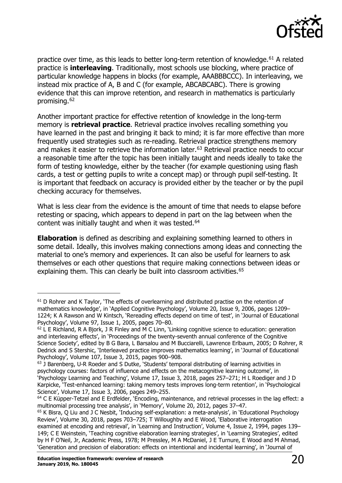

practice over time, as this leads to better long-term retention of knowledge.<sup>[61](#page-19-0)</sup> A related practice is **interleaving**. Traditionally, most schools use blocking, where practice of particular knowledge happens in blocks (for example, AAABBBCCC). In interleaving, we instead mix practice of A, B and C (for example, ABCABCABC). There is growing evidence that this can improve retention, and research in mathematics is particularly promising.[62](#page-19-1)

Another important practice for effective retention of knowledge in the long-term memory is **retrieval practice**. Retrieval practice involves recalling something you have learned in the past and bringing it back to mind; it is far more effective than more frequently used strategies such as re-reading. Retrieval practice strengthens memory and makes it easier to retrieve the information later.<sup>[63](#page-19-2)</sup> Retrieval practice needs to occur a reasonable time after the topic has been initially taught and needs ideally to take the form of testing knowledge, either by the teacher (for example questioning using flash cards, a test or getting pupils to write a concept map) or through pupil self-testing. It is important that feedback on accuracy is provided either by the teacher or by the pupil checking accuracy for themselves.

What is less clear from the evidence is the amount of time that needs to elapse before retesting or spacing, which appears to depend in part on the lag between when the content was initially taught and when it was tested.<sup>[64](#page-19-3)</sup>

**Elaboration** is defined as describing and explaining something learned to others in some detail. Ideally, this involves making connections among ideas and connecting the material to one's memory and experiences. It can also be useful for learners to ask themselves or each other questions that require making connections between ideas or explaining them. This can clearly be built into classroom activities.<sup>[65](#page-19-4)</sup>

<span id="page-19-0"></span> $61$  D Rohrer and K Taylor, 'The effects of overlearning and distributed practise on the retention of mathematics knowledge', in 'Applied Cognitive Psychology', Volume 20, Issue 9, 2006, pages 1209– 1224; K A Rawson and W Kintsch, 'Rereading effects depend on time of test', in 'Journal of Educational Psychology', Volume 97, Issue 1, 2005, pages 70–80.

<span id="page-19-1"></span> $62$  L E Richland, R A Bjork, J R Finley and M C Linn, 'Linking cognitive science to education: generation and interleaving effects', in 'Proceedings of the twenty-seventh annual conference of the Cognitive Science Society', edited by B G Bara, L Barsalou and M Bucciarelli, Lawrence Erlbaum, 2005; D Rohrer, R Dedrick and S Stershic, 'Interleaved practice improves mathematics learning', in 'Journal of Educational Psychology', Volume 107, Issue 3, 2015, pages 900–908.

<span id="page-19-2"></span><sup>&</sup>lt;sup>63</sup> J Barenberg, U-R Roeder and S Dutke, 'Students' temporal distributing of learning activities in psychology courses: factors of influence and effects on the metacognitive learning outcome', in 'Psychology Learning and Teaching', Volume 17, Issue 3, 2018, pages 257–271; H L Roediger and J D Karpicke, 'Test-enhanced learning: taking memory tests improves long-term retention', in 'Psychological Science', Volume 17, Issue 3, 2006, pages 249–255.

<span id="page-19-3"></span> $64$  C E Küpper-Tetzel and E Erdfelder, 'Encoding, maintenance, and retrieval processes in the lag effect: a multinomial processing tree analysis', in 'Memory', Volume 20, 2012, pages 37–47.

<span id="page-19-4"></span><sup>65</sup> K Bisra, Q Liu and J C Nesbit, 'Inducing self-explanation: a meta-analysis', in 'Educational Psychology Review', Volume 30, 2018, pages 703–725; T Willoughby and E Wood, 'Elaborative interrogation examined at encoding and retrieval', in 'Learning and Instruction', Volume 4, Issue 2, 1994, pages 139– 149; C E Weinstein, 'Teaching cognitive elaboration learning strategies', in 'Learning Strategies', edited by H F O'Neil, Jr, Academic Press, 1978; M Pressley, M A McDaniel, J E Turnure, E Wood and M Ahmad, 'Generation and precision of elaboration: effects on intentional and incidental learning', in 'Journal of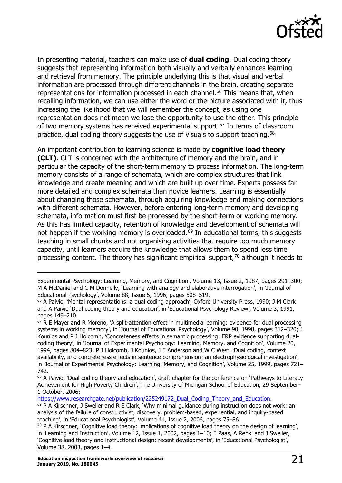

In presenting material, teachers can make use of **dual coding**. Dual coding theory suggests that representing information both visually and verbally enhances learning and retrieval from memory. The principle underlying this is that visual and verbal information are processed through different channels in the brain, creating separate representations for information processed in each channel.<sup>[66](#page-20-0)</sup> This means that, when recalling information, we can use either the word or the picture associated with it, thus increasing the likelihood that we will remember the concept, as using one representation does not mean we lose the opportunity to use the other. This principle of two memory systems has received experimental support.<sup>[67](#page-20-1)</sup> In terms of classroom practice, dual coding theory suggests the use of visuals to support teaching.<sup>[68](#page-20-2)</sup>

An important contribution to learning science is made by **cognitive load theory (CLT)**. CLT is concerned with the architecture of memory and the brain, and in particular the capacity of the short-term memory to process information. The long-term memory consists of a range of schemata, which are complex structures that link knowledge and create meaning and which are built up over time. Experts possess far more detailed and complex schemata than novice learners. Learning is essentially about changing those schemata, through acquiring knowledge and making connections with different schemata. However, before entering long-term memory and developing schemata, information must first be processed by the short-term or working memory. As this has limited capacity, retention of knowledge and development of schemata will not happen if the working memory is overloaded.<sup> $69$ </sup> In educational terms, this suggests teaching in small chunks and not organising activities that require too much memory capacity, until learners acquire the knowledge that allows them to spend less time processing content. The theory has significant empirical support,<sup>[70](#page-20-4)</sup> although it needs to

[https://www.researchgate.net/publication/225249172\\_Dual\\_Coding\\_Theory\\_and\\_Education.](http://www.researchgate.net/publication/225249172_Dual_Coding_Theory_and_Education)

Experimental Psychology: Learning, Memory, and Cognition', Volume 13, Issue 2, 1987, pages 291–300; M A McDaniel and C M Donnelly, 'Learning with analogy and elaborative interrogation', in 'Journal of Educational Psychology', Volume 88, Issue 5, 1996, pages 508–519.

<span id="page-20-0"></span><sup>&</sup>lt;sup>66</sup> A Paivio, 'Mental representations: a dual coding approach', Oxford University Press, 1990; J M Clark and A Paivio 'Dual coding theory and education', in 'Educational Psychology Review', Volume 3, 1991, pages 149–210.

<span id="page-20-1"></span> $67$  R E Mayer and R Moreno, 'A split-attention effect in multimedia learning: evidence for dual processing systems in working memory', in 'Journal of Educational Psychology', Volume 90, 1998, pages 312–320; J Kounios and P J Holcomb, 'Concreteness effects in semantic processing: ERP evidence supporting dualcoding theory', in 'Journal of Experimental Psychology: Learning, Memory, and Cognition', Volume 20, 1994, pages 804–823; P J Holcomb, J Kounios, J E Anderson and W C West, 'Dual coding, context availability, and concreteness effects in sentence comprehension: an electrophysiological investigation', in 'Journal of Experimental Psychology: Learning, Memory, and Cognition', Volume 25, 1999, pages 721– 742.

<span id="page-20-2"></span><sup>&</sup>lt;sup>68</sup> A Paivio, 'Dual coding theory and education', draft chapter for the conference on 'Pathways to Literacy Achievement for High Poverty Children', The University of Michigan School of Education, 29 September– 1 October, 2006;

<span id="page-20-3"></span> $^{69}$  P A Kirschner, J Sweller and R E Clark, Why minimal guidance during instruction does not work: an analysis of the failure of constructivist, discovery, problem-based, experiential, and inquiry-based teaching', in 'Educational Psychologist', Volume 41, Issue 2, 2006, pages 75–86.

<span id="page-20-4"></span> $70$  P A Kirschner, 'Cognitive load theory: implications of cognitive load theory on the design of learning', in 'Learning and Instruction', Volume 12, Issue 1, 2002, pages 1–10; F Paas, A Renkl and J Sweller, 'Cognitive load theory and instructional design: recent developments', in 'Educational Psychologist', Volume 38, 2003, pages 1–4.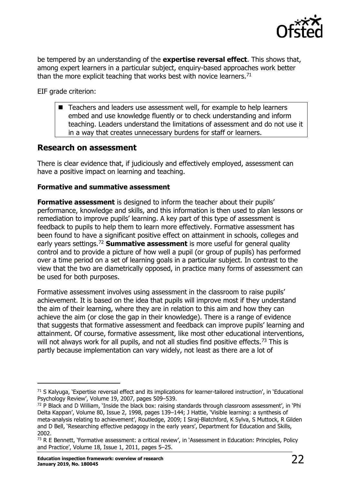

be tempered by an understanding of the **expertise reversal effect**. This shows that, among expert learners in a particular subject, enquiry-based approaches work better than the more explicit teaching that works best with novice learners.<sup>[71](#page-21-1)</sup>

EIF grade criterion:

 Teachers and leaders use assessment well, for example to help learners embed and use knowledge fluently or to check understanding and inform teaching. Leaders understand the limitations of assessment and do not use it in a way that creates unnecessary burdens for staff or learners.

#### <span id="page-21-0"></span>**Research on assessment**

There is clear evidence that, if judiciously and effectively employed, assessment can have a positive impact on learning and teaching.

#### **Formative and summative assessment**

**Formative assessment** is designed to inform the teacher about their pupils' performance, knowledge and skills, and this information is then used to plan lessons or remediation to improve pupils' learning. A key part of this type of assessment is feedback to pupils to help them to learn more effectively. Formative assessment has been found to have a significant positive effect on attainment in schools, colleges and early years settings.[72](#page-21-2) **Summative assessment** is more useful for general quality control and to provide a picture of how well a pupil (or group of pupils) has performed over a time period on a set of learning goals in a particular subject. In contrast to the view that the two are diametrically opposed, in practice many forms of assessment can be used for both purposes.

Formative assessment involves using assessment in the classroom to raise pupils' achievement. It is based on the idea that pupils will improve most if they understand the aim of their learning, where they are in relation to this aim and how they can achieve the aim (or close the gap in their knowledge). There is a range of evidence that suggests that formative assessment and feedback can improve pupils' learning and attainment. Of course, formative assessment, like most other educational interventions, will not always work for all pupils, and not all studies find positive effects.<sup>[73](#page-21-3)</sup> This is partly because implementation can vary widely, not least as there are a lot of

<span id="page-21-1"></span> $71$  S Kalyuga, 'Expertise reversal effect and its implications for learner-tailored instruction', in 'Educational Psychology Review', Volume 19, 2007, pages 509–539.

<span id="page-21-2"></span> $72$  P Black and D William, 'Inside the black box: raising standards through classroom assessment', in 'Phi Delta Kappan', Volume 80, Issue 2, 1998, pages 139–144; J Hattie, 'Visible learning: a synthesis of meta-analysis relating to achievement', Routledge, 2009; I Siraj-Blatchford, K Sylva, S Muttock, R Gilden and D Bell, 'Researching effective pedagogy in the early years', Department for Education and Skills, 2002.

<span id="page-21-3"></span><sup>73</sup> R E Bennett, 'Formative assessment: a critical review', in 'Assessment in Education: Principles, Policy and Practice', Volume 18, Issue 1, 2011, pages 5–25.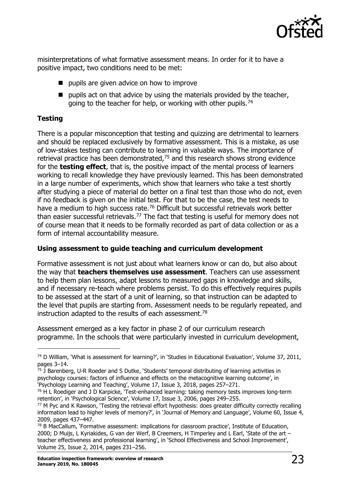

misinterpretations of what formative assessment means. In order for it to have a positive impact, two conditions need to be met:

- **pupils are given advice on how to improve**
- $\blacksquare$  pupils act on that advice by using the materials provided by the teacher, going to the teacher for help, or working with other pupils.<sup>[74](#page-22-0)</sup>

#### **Testing**

There is a popular misconception that testing and quizzing are detrimental to learners and should be replaced exclusively by formative assessment. This is a mistake, as use of low-stakes testing can contribute to learning in valuable ways. The importance of retrieval practice has been demonstrated,<sup>[75](#page-22-1)</sup> and this research shows strong evidence for the **testing effect**, that is, the positive impact of the mental process of learners working to recall knowledge they have previously learned. This has been demonstrated in a large number of experiments, which show that learners who take a test shortly after studying a piece of material do better on a final test than those who do not, even if no feedback is given on the initial test. For that to be the case, the test needs to have a medium to high success rate.<sup>[76](#page-22-2)</sup> Difficult but successful retrievals work better than easier successful retrievals.<sup>77</sup> The fact that testing is useful for memory does not of course mean that it needs to be formally recorded as part of data collection or as a form of internal accountability measure.

#### **Using assessment to guide teaching and curriculum development**

Formative assessment is not just about what learners know or can do, but also about the way that **teachers themselves use assessment**. Teachers can use assessment to help them plan lessons, adapt lessons to measured gaps in knowledge and skills, and if necessary re-teach where problems persist. To do this effectively requires pupils to be assessed at the start of a unit of learning, so that instruction can be adapted to the level that pupils are starting from. Assessment needs to be regularly repeated, and instruction adapted to the results of each assessment.<sup>[78](#page-22-4)</sup>

Assessment emerged as a key factor in phase 2 of our curriculum research programme. In the schools that were particularly invested in curriculum development,

<span id="page-22-0"></span> $^{74}$  D William, `What is assessment for learning?', in `Studies in Educational Evaluation', Volume 37, 2011, pages 3–14.

<span id="page-22-1"></span> $75$  J Barenberg, U-R Roeder and S Dutke, 'Students' temporal distributing of learning activities in psychology courses: factors of influence and effects on the metacognitive learning outcome', in 'Psychology Learning and Teaching', Volume 17, Issue 3, 2018, pages 257–271.

<span id="page-22-2"></span><sup>&</sup>lt;sup>76</sup> H L Roediger and J D Karpicke, 'Test-enhanced learning: taking memory tests improves long-term retention', in 'Psychological Science', Volume 17, Issue 3, 2006, pages 249–255.

<span id="page-22-3"></span><sup>77</sup> M Pyc and K Rawson, 'Testing the retrieval effort hypothesis: does greater difficulty correctly recalling information lead to higher levels of memory?', in 'Journal of Memory and Language', Volume 60, Issue 4, 2009, pages 437–447.

<span id="page-22-4"></span> $78$  B MacCallum, 'Formative assessment: implications for classroom practice', Institute of Education, 2000; D Muijs, L Kyriakides, G van der Werf, B Creemers, H Timperley and L Earl, 'State of the art – teacher effectiveness and professional learning', in 'School Effectiveness and School Improvement', Volume 25, Issue 2, 2014, pages 231–256.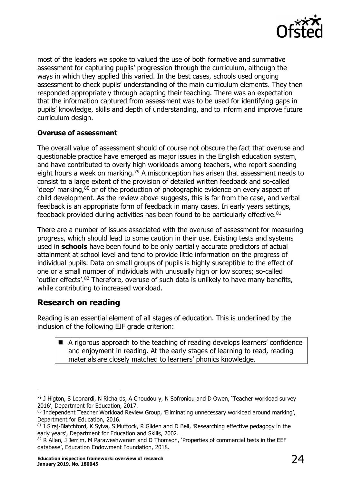

most of the leaders we spoke to valued the use of both formative and summative assessment for capturing pupils' progression through the curriculum, although the ways in which they applied this varied. In the best cases, schools used ongoing assessment to check pupils' understanding of the main curriculum elements. They then responded appropriately through adapting their teaching. There was an expectation that the information captured from assessment was to be used for identifying gaps in pupils' knowledge, skills and depth of understanding, and to inform and improve future curriculum design.

#### **Overuse of assessment**

The overall value of assessment should of course not obscure the fact that overuse and questionable practice have emerged as major issues in the English education system, and have contributed to overly high workloads among teachers, who report spending eight hours a week on marking.<sup>[79](#page-23-1)</sup> A misconception has arisen that assessment needs to consist to a large extent of the provision of detailed written feedback and so-called 'deep' marking, $80$  or of the production of photographic evidence on every aspect of child development. As the review above suggests, this is far from the case, and verbal feedback is an appropriate form of feedback in many cases. In early years settings, feedback provided during activities has been found to be particularly effective.<sup>[81](#page-23-3)</sup>

There are a number of issues associated with the overuse of assessment for measuring progress, which should lead to some caution in their use. Existing tests and systems used in **schools** have been found to be only partially accurate predictors of actual attainment at school level and tend to provide little information on the progress of individual pupils. Data on small groups of pupils is highly susceptible to the effect of one or a small number of individuals with unusually high or low scores; so-called 'outlier effects'.[82](#page-23-4) Therefore, overuse of such data is unlikely to have many benefits, while contributing to increased workload.

#### <span id="page-23-0"></span>**Research on reading**

Reading is an essential element of all stages of education. This is underlined by the inclusion of the following EIF grade criterion:

 A rigorous approach to the teaching of reading develops learners' confidence and enjoyment in reading. At the early stages of learning to read, reading materials are closely matched to learners' phonics knowledge.

<span id="page-23-1"></span><sup>&</sup>lt;sup>79</sup> J Higton, S Leonardi, N Richards, A Choudoury, N Sofroniou and D Owen, 'Teacher workload survey 2016', Department for Education, 2017.

<span id="page-23-2"></span><sup>80</sup> Independent Teacher Workload Review Group, 'Eliminating unnecessary workload around marking', Department for Education, 2016.

<span id="page-23-3"></span> $81$  I Siraj-Blatchford, K Sylva, S Muttock, R Gilden and D Bell, 'Researching effective pedagogy in the early years', Department for Education and Skills, 2002.

<span id="page-23-4"></span><sup>82</sup> R Allen, J Jerrim, M Paraweshwaram and D Thomson, 'Properties of commercial tests in the EEF database', Education Endowment Foundation, 2018.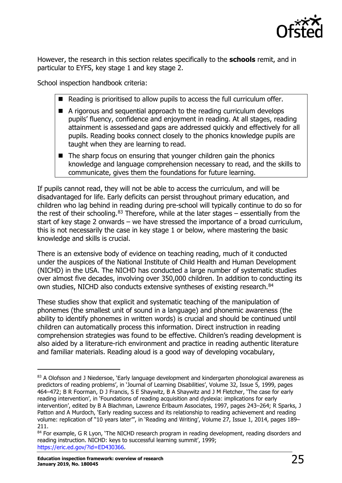

However, the research in this section relates specifically to the **schools** remit, and in particular to EYFS, key stage 1 and key stage 2.

School inspection handbook criteria:

- Reading is prioritised to allow pupils to access the full curriculum offer.
- A rigorous and sequential approach to the reading curriculum develops pupils' fluency, confidence and enjoyment in reading. At all stages, reading attainment is assessedand gaps are addressed quickly and effectively for all pupils. Reading books connect closely to the phonics knowledge pupils are taught when they are learning to read.
- The sharp focus on ensuring that younger children gain the phonics knowledge and language comprehension necessary to read, and the skills to communicate, gives them the foundations for future learning.

If pupils cannot read, they will not be able to access the curriculum, and will be disadvantaged for life. Early deficits can persist throughout primary education, and children who lag behind in reading during pre-school will typically continue to do so for the rest of their schooling. $83$  Therefore, while at the later stages – essentially from the start of key stage 2 onwards – we have stressed the importance of a broad curriculum, this is not necessarily the case in key stage 1 or below, where mastering the basic knowledge and skills is crucial.

There is an extensive body of evidence on teaching reading, much of it conducted under the auspices of the National Institute of Child Health and Human Development (NICHD) in the USA. The NICHD has conducted a large number of systematic studies over almost five decades, involving over 350,000 children. In addition to conducting its own studies, NICHD also conducts extensive syntheses of existing research.<sup>[84](#page-24-1)</sup>

These studies show that explicit and systematic teaching of the manipulation of phonemes (the smallest unit of sound in a language) and phonemic awareness (the ability to identify phonemes in written words) is crucial and should be continued until children can automatically process this information. Direct instruction in reading comprehension strategies was found to be effective. Children's reading development is also aided by a literature-rich environment and practice in reading authentic literature and familiar materials. Reading aloud is a good way of developing vocabulary,

<span id="page-24-0"></span><sup>83</sup> A Olofsson and J Niedersoe, 'Early language development and kindergarten phonological awareness as predictors of reading problems', in 'Journal of Learning Disabilities', Volume 32, Issue 5, 1999, pages 464–472; B R Foorman, D J Francis, S E Shaywitz, B A Shaywitz and J M Fletcher, 'The case for early reading intervention', in 'Foundations of reading acquisition and dyslexia: implications for early intervention', edited by B A Blachman, Lawrence Erlbaum Associates, 1997, pages 243–264; R Sparks, J Patton and A Murdoch, 'Early reading success and its relationship to reading achievement and reading volume: replication of "10 years later"', in 'Reading and Writing', Volume 27, Issue 1, 2014, pages 189– 211.

<span id="page-24-1"></span><sup>84</sup> For example, G R Lyon, 'The NICHD research program in reading development, reading disorders and reading instruction. NICHD: keys to successful learning summit', 1999; [https://eric.ed.gov/?id=ED430366.](https://eric.ed.gov/?id=ED430366)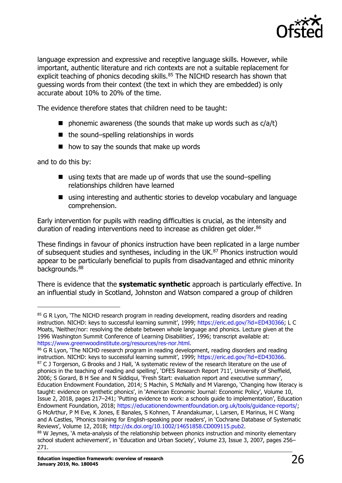

language expression and expressive and receptive language skills. However, while important, authentic literature and rich contexts are not a suitable replacement for explicit teaching of phonics decoding skills.<sup>[85](#page-25-0)</sup> The NICHD research has shown that guessing words from their context (the text in which they are embedded) is only accurate about 10% to 20% of the time.

The evidence therefore states that children need to be taught:

- **P** phonemic awareness (the sounds that make up words such as  $c/a/t$ )
- $\blacksquare$  the sound–spelling relationships in words
- $\blacksquare$  how to say the sounds that make up words

and to do this by:

- using texts that are made up of words that use the sound–spelling relationships children have learned
- using interesting and authentic stories to develop vocabulary and language comprehension.

Early intervention for pupils with reading difficulties is crucial, as the intensity and duration of reading interventions need to increase as children get older.<sup>[86](#page-25-1)</sup>

These findings in favour of phonics instruction have been replicated in a large number of subsequent studies and syntheses, including in the UK.<sup>[87](#page-25-2)</sup> Phonics instruction would appear to be particularly beneficial to pupils from disadvantaged and ethnic minority backgrounds.<sup>[88](#page-25-3)</sup>

There is evidence that the **systematic synthetic** approach is particularly effective. In an influential study in Scotland, Johnston and Watson compared a group of children

<span id="page-25-0"></span><sup>&</sup>lt;sup>85</sup> G R Lyon, 'The NICHD research program in reading development, reading disorders and reading instruction. NICHD: keys to successful learning summit', 1999; [https://eric.ed.gov/?id=ED430366;](https://eric.ed.gov/?id=ED430366) L C Moats, 'Neither/nor: resolving the debate between whole language and phonics. Lecture given at the 1996 Washington Summit Conference of Learning Disabilities', 1996; transcript available at: [https://www.greenwoodinstitute.org/resources/res-nor.html.](http://www.greenwoodinstitute.org/resources/res-nor.html)

<span id="page-25-2"></span><span id="page-25-1"></span><sup>86</sup> G R Lyon, 'The NICHD research program in reading development, reading disorders and reading instruction. NICHD: keys to successful learning summit', 1999; [https://eric.ed.gov/?id=ED430366.](https://eric.ed.gov/?id=ED430366) 87 C J Torgerson, G Brooks and J Hall, `A systematic review of the research literature on the use of phonics in the teaching of reading and spelling', 'DFES Research Report 711', University of Sheffield, 2006; S Gorard, B H See and N Siddiqui, 'Fresh Start: evaluation report and executive summary', Education Endowment Foundation, 2014; S Machin, S McNally and M Viarengo, 'Changing how literacy is taught: evidence on synthetic phonics', in 'American Economic Journal: Economic Policy', Volume 10, Issue 2, 2018, pages 217–241; 'Putting evidence to work: a schools guide to implementation', Education Endowment Foundation, 2018; [https://educationendowmentfoundation.org.uk/tools/guidance-reports/;](https://educationendowmentfoundation.org.uk/tools/guidance-reports/) G McArthur, P M Eve, K Jones, E Banales, S Kohnen, T Anandakumar, L Larsen, E Marinus, H C Wang and A Castles, 'Phonics training for English-speaking poor readers', in 'Cochrane Database of Systematic Reviews', Volume 12, 2018; [http://dx.doi.org/10.1002/14651858.CD009115.pub2.](http://dx.doi.org/10.1002/14651858.CD009115.pub2)

<span id="page-25-3"></span><sup>88</sup> W Jeynes, 'A meta-analysis of the relationship between phonics instruction and minority elementary school student achievement', in 'Education and Urban Society', Volume 23, Issue 3, 2007, pages 256– 271.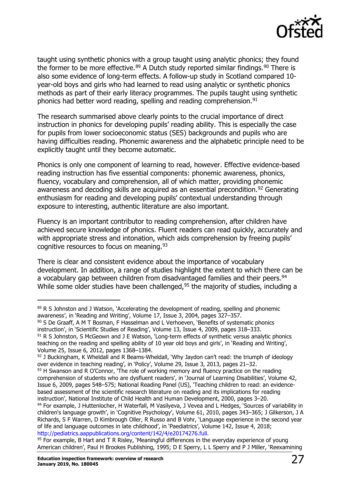

taught using synthetic phonics with a group taught using analytic phonics; they found the former to be more effective.<sup>[89](#page-26-0)</sup> A Dutch study reported similar findings.<sup>[90](#page-26-1)</sup> There is also some evidence of long-term effects. A follow-up study in Scotland compared 10 year-old boys and girls who had learned to read using analytic or synthetic phonics methods as part of their early literacy programmes. The pupils taught using synthetic phonics had better word reading, spelling and reading comprehension.<sup>[91](#page-26-2)</sup>

The research summarised above clearly points to the crucial importance of direct instruction in phonics for developing pupils' reading ability. This is especially the case for pupils from lower socioeconomic status (SES) backgrounds and pupils who are having difficulties reading. Phonemic awareness and the alphabetic principle need to be explicitly taught until they become automatic.

Phonics is only one component of learning to read, however. Effective evidence-based reading instruction has five essential components: phonemic awareness, phonics, fluency, vocabulary and comprehension, all of which matter, providing phonemic awareness and decoding skills are acquired as an essential precondition.<sup>[92](#page-26-3)</sup> Generating enthusiasm for reading and developing pupils' contextual understanding through exposure to interesting, authentic literature are also important.

Fluency is an important contributor to reading comprehension, after children have achieved secure knowledge of phonics. Fluent readers can read quickly, accurately and with appropriate stress and intonation, which aids comprehension by freeing pupils' cognitive resources to focus on meaning. [93](#page-26-4)

There is clear and consistent evidence about the importance of vocabulary development. In addition, a range of studies highlight the extent to which there can be a vocabulary gap between children from disadvantaged families and their peers.<sup>[94](#page-26-5)</sup> While some older studies have been challenged,<sup>[95](#page-26-6)</sup> the majority of studies, including a

<span id="page-26-0"></span> $89$  R S Johnston and J Watson, 'Accelerating the development of reading, spelling and phonemic awareness', in 'Reading and Writing', Volume 17, Issue 3, 2004, pages 327–357.

<span id="page-26-1"></span><sup>90</sup> S De Graaff, A M T Bosman, F Hasselman and L Verhoeven, 'Benefits of systematic phonics instruction', in 'Scientific Studies of Reading', Volume 13, Issue 4, 2009, pages 318–333.

<span id="page-26-2"></span> $91$  R S Johnston, S McGeown and J E Watson, 'Long-term effects of synthetic versus analytic phonics teaching on the reading and spelling ability of 10 year old boys and girls', in 'Reading and Writing', Volume 25, Issue 6, 2012, pages 1368–1384.

<span id="page-26-3"></span><sup>&</sup>lt;sup>92</sup> J Buckingham, K Wheldall and R Beams-Wheldall, 'Why Jaydon can't read: the triumph of ideology over evidence in teaching reading', in 'Policy', Volume 29, Issue 3, 2013, pages 21–32.

<span id="page-26-4"></span> $93$  H Swanson and R O'Connor, 'The role of working memory and fluency practice on the reading comprehension of students who are dysfluent readers', in 'Journal of Learning Disabilities', Volume 42, Issue 6, 2009, pages 548–575; National Reading Panel (US), 'Teaching children to read: an evidencebased assessment of the scientific research literature on reading and its implications for reading instruction', National Institute of Child Health and Human Development, 2000, pages 3–20.

<span id="page-26-5"></span><sup>94</sup> For example, J Huttenlocher, H Waterfall, M Vasilyeva, J Vevea and L Hedges, 'Sources of variability in children's language growth', in 'Cognitive Psychology', Volume 61, 2010, pages 343–365; J Gilkerson, J A Richards, S F Warren, D Kimbrough Oller, R Russo and B Vohr, 'Language experience in the second year of life and language outcomes in late childhood', in 'Paediatrics', Volume 142, Issue 4, 2018; [http://pediatrics.aappublications.org/content/142/4/e20174276.full.](http://pediatrics.aappublications.org/content/142/4/e20174276.full)

<span id="page-26-6"></span><sup>&</sup>lt;sup>95</sup> For example, B Hart and T R Risley, 'Meaningful differences in the everyday experience of young American children', Paul H Brookes Publishing, 1995; D E Sperry, L L Sperry and P J Miller, 'Reexamining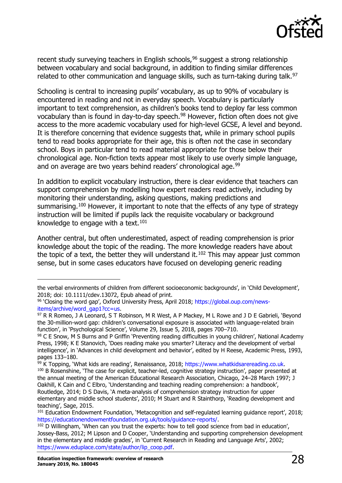

recent study surveying teachers in English schools,<sup>[96](#page-27-0)</sup> suggest a strong relationship between vocabulary and social background, in addition to finding similar differences related to other communication and language skills, such as turn-taking during talk.<sup>[97](#page-27-1)</sup>

Schooling is central to increasing pupils' vocabulary, as up to 90% of vocabulary is encountered in reading and not in everyday speech. Vocabulary is particularly important to text comprehension, as children's books tend to deploy far less common vocabulary than is found in day-to-day speech.[98](#page-27-2) However, fiction often does not give access to the more academic vocabulary used for high-level GCSE, A level and beyond. It is therefore concerning that evidence suggests that, while in primary school pupils tend to read books appropriate for their age, this is often not the case in secondary school. Boys in particular tend to read material appropriate for those below their chronological age. Non-fiction texts appear most likely to use overly simple language, and on average are two vears behind readers' chronological age.<sup>[99](#page-27-3)</sup>

In addition to explicit vocabulary instruction, there is clear evidence that teachers can support comprehension by modelling how expert readers read actively, including by monitoring their understanding, asking questions, making predictions and summarising.<sup>[100](#page-27-4)</sup> However, it important to note that the effects of any type of strategy instruction will be limited if pupils lack the requisite vocabulary or background knowledge to engage with a text. $101$ 

Another central, but often underestimated, aspect of reading comprehension is prior knowledge about the topic of the reading. The more knowledge readers have about the topic of a text, the better they will understand it.<sup>[102](#page-27-6)</sup> This may appear just common sense, but in some cases educators have focused on developing generic reading

the verbal environments of children from different socioeconomic backgrounds', in 'Child Development', 2018; doi: 10.1111/cdev.13072, Epub ahead of print.

<span id="page-27-0"></span><sup>96</sup> 'Closing the word gap', Oxford University Press, April 2018; [https://global.oup.com/news](https://global.oup.com/news-items/archive/word_gap1?cc=us)[items/archive/word\\_gap1?cc=us.](https://global.oup.com/news-items/archive/word_gap1?cc=us)

<span id="page-27-1"></span><sup>97</sup> R R Romeo, J A Leonard, S T Robinson, M R West, A P Mackey, M L Rowe and J D E Gabrieli, 'Bevond the 30-million-word gap: children's conversational exposure is associated with language-related brain function', in 'Psychological Science', Volume 29, Issue 5, 2018, pages 700–710.

<span id="page-27-2"></span><sup>98</sup> C E Snow, M S Burns and P Griffin 'Preventing reading difficulties in young children', National Academy Press, 1998; K E Stanovich, 'Does reading make you smarter? Literacy and the development of verbal intelligence', in 'Advances in child development and behavior', edited by H Reese, Academic Press, 1993, pages 133–180.

<span id="page-27-3"></span><sup>&</sup>lt;sup>99</sup> K Topping, 'What kids are reading', Renaissance, 2018; [https://www.whatkidsarereading.co.uk.](http://www.whatkidsarereading.co.uk/)

<span id="page-27-4"></span><sup>&</sup>lt;sup>100</sup> B Rosenshine, 'The case for explicit, teacher-led, cognitive strategy instruction', paper presented at the annual meeting of the American Educational Research Association, Chicago, 24–28 March 1997; J Oakhill, K Cain and C Elbro, 'Understanding and teaching reading comprehension: a handbook', Routledge, 2014; D S Davis, 'A meta-analysis of comprehension strategy instruction for upper elementary and middle school students', 2010; M Stuart and R Stainthorp, 'Reading development and teaching', Sage, 2015.

<span id="page-27-5"></span><sup>101</sup> Education Endowment Foundation, 'Metacognition and self-regulated learning guidance report', 2018; [https://educationendowmentfoundation.org.uk/tools/guidance-reports/.](https://educationendowmentfoundation.org.uk/tools/guidance-reports/)

<span id="page-27-6"></span><sup>&</sup>lt;sup>102</sup> D Willingham, 'When can you trust the experts: how to tell good science from bad in education', Jossey-Bass, 2012; M Lipson and D Cooper, 'Understanding and supporting comprehension development in the elementary and middle grades', in 'Current Research in Reading and Language Arts', 2002; [https://www.eduplace.com/state/author/lip\\_coop.pdf.](http://www.eduplace.com/state/author/lip_coop.pdf)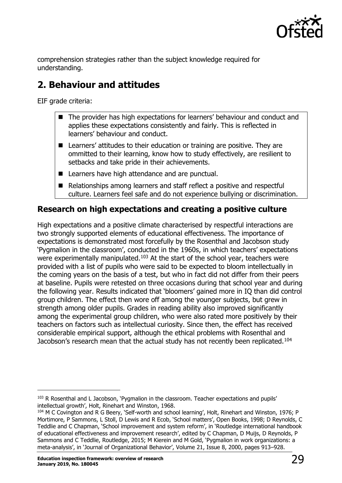

<span id="page-28-0"></span>comprehension strategies rather than the subject knowledge required for understanding.

# **2. Behaviour and attitudes**

EIF grade criteria:

- The provider has high expectations for learners' behaviour and conduct and applies these expectations consistently and fairly. This is reflected in learners' behaviour and conduct.
- Learners' attitudes to their education or training are positive. They are ommitted to their learning, know how to study effectively, are resilient to setbacks and take pride in their achievements.
- Learners have high attendance and are punctual.
- Relationships among learners and staff reflect a positive and respectful culture. Learners feel safe and do not experience bullying or discrimination.

# <span id="page-28-1"></span>**Research on high expectations and creating a positive culture**

High expectations and a positive climate characterised by respectful interactions are two strongly supported elements of educational effectiveness. The importance of expectations is demonstrated most forcefully by the Rosenthal and Jacobson study 'Pygmalion in the classroom', conducted in the 1960s, in which teachers' expectations were experimentally manipulated. $103$  At the start of the school year, teachers were provided with a list of pupils who were said to be expected to bloom intellectually in the coming years on the basis of a test, but who in fact did not differ from their peers at baseline. Pupils were retested on three occasions during that school year and during the following year. Results indicated that 'bloomers' gained more in IQ than did control group children. The effect then wore off among the younger subjects, but grew in strength among older pupils. Grades in reading ability also improved significantly among the experimental group children, who were also rated more positively by their teachers on factors such as intellectual curiosity. Since then, the effect has received considerable empirical support, although the ethical problems with Rosenthal and Jacobson's research mean that the actual study has not recently been replicated.[104](#page-28-3)

<span id="page-28-2"></span> $103$  R Rosenthal and L Jacobson, 'Pygmalion in the classroom. Teacher expectations and pupils' intellectual growth', Holt, Rinehart and Winston, 1968.

<span id="page-28-3"></span><sup>104</sup> M C Covington and R G Beery, 'Self-worth and school learning', Holt, Rinehart and Winston, 1976; P Mortimore, P Sammons, L Stoll, D Lewis and R Ecob, 'School matters', Open Books, 1998; D Reynolds, C Teddlie and C Chapman, 'School improvement and system reform', in 'Routledge international handbook of educational effectiveness and improvement research', edited by C Chapman, D Muijs, D Reynolds, P Sammons and C Teddlie, Routledge, 2015; M Kierein and M Gold, 'Pygmalion in work organizations: a meta‐analysis', in 'Journal of Organizational Behavior', Volume 21, Issue 8, 2000, pages 913–928.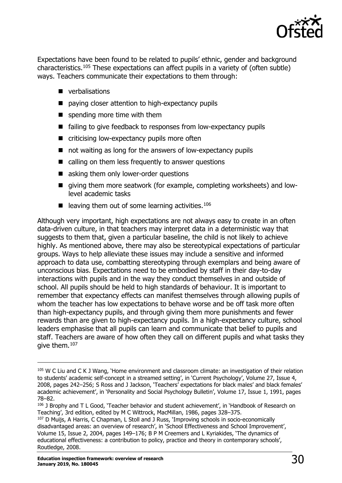

Expectations have been found to be related to pupils' ethnic, gender and background characteristics[.105](#page-29-0) These expectations can affect pupils in a variety of (often subtle) ways. Teachers communicate their expectations to them through:

- **verbalisations**
- paying closer attention to high-expectancy pupils
- **spending more time with them**
- failing to give feedback to responses from low-expectancy pupils
- $\blacksquare$  criticising low-expectancy pupils more often
- not waiting as long for the answers of low-expectancy pupils
- calling on them less frequently to answer questions
- asking them only lower-order questions
- qiving them more seatwork (for example, completing worksheets) and lowlevel academic tasks
- leaving them out of some learning activities.<sup>[106](#page-29-1)</sup>

Although very important, high expectations are not always easy to create in an often data-driven culture, in that teachers may interpret data in a deterministic way that suggests to them that, given a particular baseline, the child is not likely to achieve highly. As mentioned above, there may also be stereotypical expectations of particular groups. Ways to help alleviate these issues may include a sensitive and informed approach to data use, combatting stereotyping through exemplars and being aware of unconscious bias. Expectations need to be embodied by staff in their day-to-day interactions with pupils and in the way they conduct themselves in and outside of school. All pupils should be held to high standards of behaviour. It is important to remember that expectancy effects can manifest themselves through allowing pupils of whom the teacher has low expectations to behave worse and be off task more often than high-expectancy pupils, and through giving them more punishments and fewer rewards than are given to high-expectancy pupils. In a high-expectancy culture, school leaders emphasise that all pupils can learn and communicate that belief to pupils and staff. Teachers are aware of how often they call on different pupils and what tasks they give them.[107](#page-29-2)

<span id="page-29-0"></span> $105$  W C Liu and C K J Wang, 'Home environment and classroom climate: an investigation of their relation to students' academic self-concept in a streamed setting', in 'Current Psychology', Volume 27, Issue 4, 2008, pages 242–256; S Ross and J Jackson, 'Teachers' expectations for black males' and black females' academic achievement', in 'Personality and Social Psychology Bulletin', Volume 17, Issue 1, 1991, pages 78–82.

<span id="page-29-1"></span><sup>106</sup> J Brophy and T L Good, 'Teacher behavior and student achievement', in 'Handbook of Research on Teaching', 3rd edition, edited by M C Wittrock, MacMillan, 1986, pages 328–375.

<span id="page-29-2"></span><sup>&</sup>lt;sup>107</sup> D Muijs, A Harris, C Chapman, L Stoll and J Russ, 'Improving schools in socio-economically disadvantaged areas: an overview of research', in 'School Effectiveness and School Improvement', Volume 15, Issue 2, 2004, pages 149–176; B P M Creemers and L Kyriakides, 'The dynamics of educational effectiveness: a contribution to policy, practice and theory in contemporary schools', Routledge, 2008.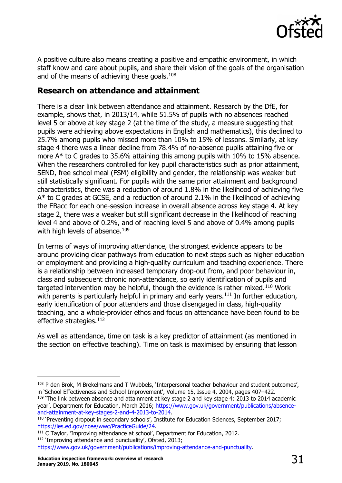

A positive culture also means creating a positive and empathic environment, in which staff know and care about pupils, and share their vision of the goals of the organisation and of the means of achieving these goals. $108$ 

## <span id="page-30-0"></span>**Research on attendance and attainment**

There is a clear link between attendance and attainment. Research by the DfE, for example, shows that, in 2013/14, while 51.5% of pupils with no absences reached level 5 or above at key stage 2 (at the time of the study, a measure suggesting that pupils were achieving above expectations in English and mathematics), this declined to 25.7% among pupils who missed more than 10% to 15% of lessons. Similarly, at key stage 4 there was a linear decline from 78.4% of no-absence pupils attaining five or more A\* to C grades to 35.6% attaining this among pupils with 10% to 15% absence. When the researchers controlled for key pupil characteristics such as prior attainment, SEND, free school meal (FSM) eligibility and gender, the relationship was weaker but still statistically significant. For pupils with the same prior attainment and background characteristics, there was a reduction of around 1.8% in the likelihood of achieving five A\* to C grades at GCSE, and a reduction of around 2.1% in the likelihood of achieving the EBacc for each one-session increase in overall absence across key stage 4. At key stage 2, there was a weaker but still significant decrease in the likelihood of reaching level 4 and above of 0.2%, and of reaching level 5 and above of 0.4% among pupils with high levels of absence.<sup>[109](#page-30-2)</sup>

In terms of ways of improving attendance, the strongest evidence appears to be around providing clear pathways from education to next steps such as higher education or employment and providing a high-quality curriculum and teaching experience. There is a relationship between increased temporary drop-out from, and poor behaviour in, class and subsequent chronic non-attendance, so early identification of pupils and targeted intervention may be helpful, though the evidence is rather mixed.<sup>[110](#page-30-3)</sup> Work with parents is particularly helpful in primary and early years.<sup>111</sup> In further education, early identification of poor attenders and those disengaged in class, high-quality teaching, and a whole-provider ethos and focus on attendance have been found to be effective strategies.<sup>[112](#page-30-5)</sup>

As well as attendance, time on task is a key predictor of attainment (as mentioned in the section on effective teaching). Time on task is maximised by ensuring that lesson

<span id="page-30-5"></span>[https://www.gov.uk/government/publications/improving-attendance-and-punctuality.](https://www.gov.uk/government/publications/improving-attendance-and-punctuality)

<span id="page-30-1"></span><sup>108</sup> P den Brok, M Brekelmans and T Wubbels, 'Interpersonal teacher behaviour and student outcomes', in 'School Effectiveness and School Improvement', Volume 15, Issue 4, 2004, pages 407–422.

<span id="page-30-2"></span> $109$  The link between absence and attainment at key stage 2 and key stage 4: 2013 to 2014 academic year', Department for Education, March 2016; [https://www.gov.uk/government/publications/absence](https://www.gov.uk/government/publications/absence-and-attainment-at-key-stages-2-and-4-2013-to-2014)[and-attainment-at-key-stages-2-and-4-2013-to-2014.](https://www.gov.uk/government/publications/absence-and-attainment-at-key-stages-2-and-4-2013-to-2014)

<span id="page-30-3"></span><sup>&</sup>lt;sup>110</sup> 'Preventing dropout in secondary schools', Institute for Education Sciences, September 2017; [https://ies.ed.gov/ncee/wwc/PracticeGuide/24.](https://ies.ed.gov/ncee/wwc/PracticeGuide/24)

<span id="page-30-4"></span> $111$  C Taylor, 'Improving attendance at school', Department for Education, 2012. 112 'Improving attendance and punctuality', Ofsted, 2013;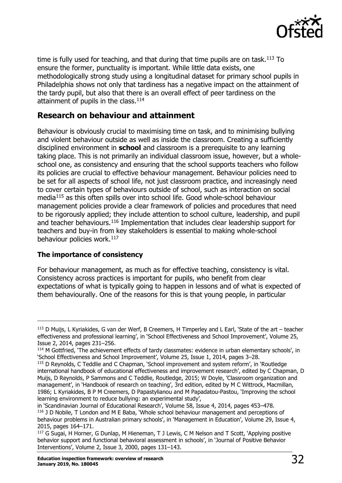

time is fully used for teaching, and that during that time pupils are on task. $113$  To ensure the former, punctuality is important. While little data exists, one methodologically strong study using a longitudinal dataset for primary school pupils in Philadelphia shows not only that tardiness has a negative impact on the attainment of the tardy pupil, but also that there is an overall effect of peer tardiness on the attainment of pupils in the class. $114$ 

# <span id="page-31-0"></span>**Research on behaviour and attainment**

Behaviour is obviously crucial to maximising time on task, and to minimising bullying and violent behaviour outside as well as inside the classroom. Creating a sufficiently disciplined environment in **school** and classroom is a prerequisite to any learning taking place. This is not primarily an individual classroom issue, however, but a wholeschool one, as consistency and ensuring that the school supports teachers who follow its policies are crucial to effective behaviour management. Behaviour policies need to be set for all aspects of school life, not just classroom practice, and increasingly need to cover certain types of behaviours outside of school, such as interaction on social media[115](#page-31-3) as this often spills over into school life. Good whole-school behaviour management policies provide a clear framework of policies and procedures that need to be rigorously applied; they include attention to school culture, leadership, and pupil and teacher behaviours.<sup>[116](#page-31-4)</sup> Implementation that includes clear leadership support for teachers and buy-in from key stakeholders is essential to making whole-school behaviour policies work.<sup>[117](#page-31-5)</sup>

#### **The importance of consistency**

For behaviour management, as much as for effective teaching, consistency is vital. Consistency across practices is important for pupils, who benefit from clear expectations of what is typically going to happen in lessons and of what is expected of them behaviourally. One of the reasons for this is that young people, in particular

in 'Scandinavian Journal of Educational Research', Volume 58, Issue 4, 2014, pages 453–478.

<span id="page-31-1"></span> $113$  D Muijs, L Kyriakides, G van der Werf, B Creemers, H Timperley and L Earl, 'State of the art – teacher effectiveness and professional learning', in 'School Effectiveness and School Improvement', Volume 25, Issue 2, 2014, pages 231–256.

<span id="page-31-2"></span><sup>&</sup>lt;sup>114</sup> M Gottfried, 'The achievement effects of tardy classmates: evidence in urban elementary schools', in 'School Effectiveness and School Improvement', Volume 25, Issue 1, 2014, pages 3–28.

<span id="page-31-3"></span><sup>&</sup>lt;sup>115</sup> D Reynolds, C Teddlie and C Chapman, 'School improvement and system reform', in 'Routledge international handbook of educational effectiveness and improvement research', edited by C Chapman, D Muijs, D Reynolds, P Sammons and C Teddlie, Routledge, 2015; W Doyle, 'Classroom organization and management', in 'Handbook of research on teaching', 3rd edition, edited by M C Wittrock, Macmillan, 1986; L Kyriakides, B P M Creemers, D Papastylianou and M Papadatou-Pastou, 'Improving the school learning environment to reduce bullying: an experimental study',

<span id="page-31-4"></span><sup>&</sup>lt;sup>116</sup> J D Nobile, T London and M E Baba, 'Whole school behaviour management and perceptions of behaviour problems in Australian primary schools', in 'Management in Education', Volume 29, Issue 4, 2015, pages 164–171.

<span id="page-31-5"></span><sup>117</sup> G Sugai, H Horner, G Dunlap, M Hieneman, T J Lewis, C M Nelson and T Scott, 'Applying positive behavior support and functional behavioral assessment in schools', in 'Journal of Positive Behavior Interventions', Volume 2, Issue 3, 2000, pages 131–143.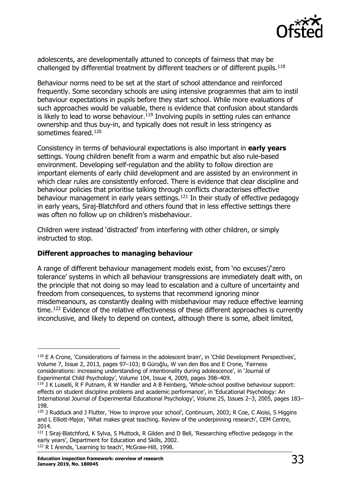

adolescents, are developmentally attuned to concepts of fairness that may be challenged by differential treatment by different teachers or of different pupils.<sup>[118](#page-32-0)</sup>

Behaviour norms need to be set at the start of school attendance and reinforced frequently. Some secondary schools are using intensive programmes that aim to instil behaviour expectations in pupils before they start school. While more evaluations of such approaches would be valuable, there is evidence that confusion about standards is likely to lead to worse behaviour.<sup>[119](#page-32-1)</sup> Involving pupils in setting rules can enhance ownership and thus buy-in, and typically does not result in less stringency as sometimes feared.<sup>[120](#page-32-2)</sup>

Consistency in terms of behavioural expectations is also important in **early years** settings. Young children benefit from a warm and empathic but also rule-based environment. Developing self-regulation and the ability to follow direction are important elements of early child development and are assisted by an environment in which clear rules are consistently enforced. There is evidence that clear discipline and behaviour policies that prioritise talking through conflicts characterises effective behaviour management in early years settings.<sup>[121](#page-32-3)</sup> In their study of effective pedagogy in early years, Siraj-Blatchford and others found that in less effective settings there was often no follow up on children's misbehaviour.

Children were instead 'distracted' from interfering with other children, or simply instructed to stop.

#### **Different approaches to managing behaviour**

A range of different behaviour management models exist, from 'no excuses'/'zero tolerance' systems in which all behaviour transgressions are immediately dealt with, on the principle that not doing so may lead to escalation and a culture of uncertainty and freedom from consequences, to systems that recommend ignoring minor misdemeanours, as constantly dealing with misbehaviour may reduce effective learning time.[122](#page-32-4) Evidence of the relative effectiveness of these different approaches is currently inconclusive, and likely to depend on context, although there is some, albeit limited,

<span id="page-32-4"></span>122 R I Arends, 'Learning to teach', McGraw-Hill, 1998.

<span id="page-32-0"></span><sup>118</sup> E A Crone, 'Considerations of fairness in the adolescent brain', in 'Child Development Perspectives', Volume 7, Issue 2, 2013, pages 97–103; B Güroğlu, W van den Bos and E Crone, 'Fairness considerations: increasing understanding of intentionality during adolescence', in 'Journal of Experimental Child Psychology', Volume 104, Issue 4, 2009, pages 398–409.

<span id="page-32-1"></span><sup>119</sup> J K Luiselli, R F Putnam, R W Handler and A B Feinberg, 'Whole-school positive behaviour support: effects on student discipline problems and academic performance', in 'Educational Psychology: An International Journal of Experimental Educational Psychology', Volume 25, Issues 2–3, 2005, pages 183– 198.

<span id="page-32-2"></span><sup>&</sup>lt;sup>120</sup> J Rudduck and J Flutter, 'How to improve your school', Continuum, 2003; R Coe, C Aloisi, S Higgins and L Elliott-Major, 'What makes great teaching. Review of the underpinning research', CEM Centre, 2014.

<span id="page-32-3"></span><sup>&</sup>lt;sup>121</sup> I Siraj-Blatchford, K Sylva, S Muttock, R Gilden and D Bell, 'Researching effective pedagogy in the early years', Department for Education and Skills, 2002.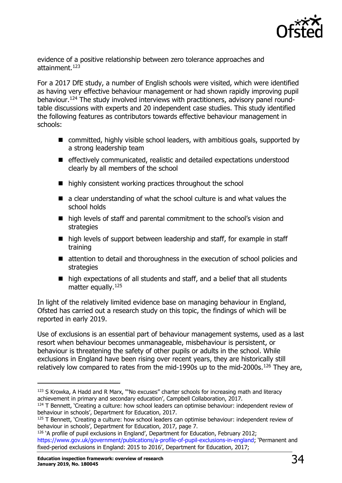

evidence of a positive relationship between zero tolerance approaches and attainment.<sup>123</sup>

For a 2017 DfE study, a number of English schools were visited, which were identified as having very effective behaviour management or had shown rapidly improving pupil behaviour[.124](#page-33-1) The study involved interviews with practitioners, advisory panel roundtable discussions with experts and 20 independent case studies. This study identified the following features as contributors towards effective behaviour management in schools:

- committed, highly visible school leaders, with ambitious goals, supported by a strong leadership team
- effectively communicated, realistic and detailed expectations understood clearly by all members of the school
- highly consistent working practices throughout the school
- $\blacksquare$  a clear understanding of what the school culture is and what values the school holds
- high levels of staff and parental commitment to the school's vision and strategies
- high levels of support between leadership and staff, for example in staff training
- attention to detail and thoroughness in the execution of school policies and strategies
- high expectations of all students and staff, and a belief that all students matter equally.<sup>[125](#page-33-2)</sup>

In light of the relatively limited evidence base on managing behaviour in England, Ofsted has carried out a research study on this topic, the findings of which will be reported in early 2019.

Use of exclusions is an essential part of behaviour management systems, used as a last resort when behaviour becomes unmanageable, misbehaviour is persistent, or behaviour is threatening the safety of other pupils or adults in the school. While exclusions in England have been rising over recent years, they are historically still relatively low compared to rates from the mid-1990s up to the mid-2000s.<sup>[126](#page-33-3)</sup> They are,

<span id="page-33-0"></span><sup>&</sup>lt;sup>123</sup> S Krowka, A Hadd and R Marx, "'No excuses" charter schools for increasing math and literacy achievement in primary and secondary education', Campbell Collaboration, 2017.

<span id="page-33-1"></span> $124$  T Bennett, 'Creating a culture: how school leaders can optimise behaviour: independent review of behaviour in schools', Department for Education, 2017.

<span id="page-33-2"></span><sup>&</sup>lt;sup>125</sup> T Bennett, 'Creating a culture: how school leaders can optimise behaviour: independent review of behaviour in schools', Department for Education, 2017, page 7.

<span id="page-33-3"></span><sup>&</sup>lt;sup>126</sup> 'A profile of pupil exclusions in England', Department for Education, February 2012; [https://www.gov.uk/government/publications/a-profile-of-pupil-exclusions-in-england;](https://www.gov.uk/government/publications/a-profile-of-pupil-exclusions-in-england) 'Permanent and fixed-period exclusions in England: 2015 to 2016', Department for Education, 2017;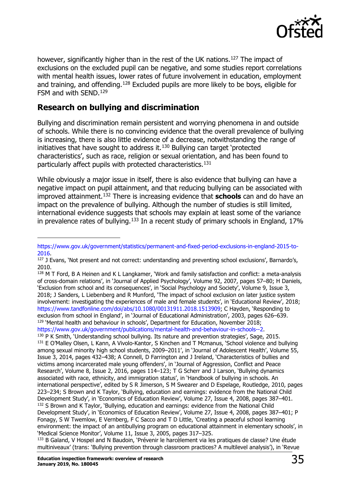

however, significantly higher than in the rest of the UK nations.<sup>[127](#page-34-1)</sup> The impact of exclusions on the excluded pupil can be negative, and some studies report correlations with mental health issues, lower rates of future involvement in education, employment and training, and offending.<sup>[128](#page-34-2)</sup> Excluded pupils are more likely to be boys, eligible for FSM and with SEND.[129](#page-34-3)

# <span id="page-34-0"></span>**Research on bullying and discrimination**

Bullying and discrimination remain persistent and worrying phenomena in and outside of schools. While there is no convincing evidence that the overall prevalence of bullying is increasing, there is also little evidence of a decrease, notwithstanding the range of initiatives that have sought to address it.[130](#page-34-4) Bullying can target 'protected characteristics', such as race, religion or sexual orientation, and has been found to particularly affect pupils with protected characteristics.<sup>[131](#page-34-5)</sup>

While obviously a major issue in itself, there is also evidence that bullying can have a negative impact on pupil attainment, and that reducing bullying can be associated with improved attainment.[132](#page-34-6) There is increasing evidence that **schools** can and do have an impact on the prevalence of bullying. Although the number of studies is still limited, international evidence suggests that schools may explain at least some of the variance in prevalence rates of bullying.<sup>[133](#page-34-7)</sup> In a recent study of primary schools in England, 17%

[https://www.gov.uk/government/statistics/permanent-and-fixed-period-exclusions-in-england-2015-to-](https://www.gov.uk/government/statistics/permanent-and-fixed-period-exclusions-in-england-2015-to-2016)[2016.](https://www.gov.uk/government/statistics/permanent-and-fixed-period-exclusions-in-england-2015-to-2016)

<span id="page-34-1"></span><sup>&</sup>lt;sup>127</sup> J Evans, 'Not present and not correct: understanding and preventing school exclusions', Barnardo's, 2010.

<span id="page-34-5"></span><span id="page-34-4"></span><span id="page-34-3"></span><span id="page-34-2"></span><sup>&</sup>lt;sup>128</sup> M T Ford, B A Heinen and K L Langkamer, 'Work and family satisfaction and conflict: a meta-analysis of cross-domain relations', in 'Journal of Applied Psychology', Volume 92, 2007, pages 57–80; H Daniels, 'Exclusion from school and its consequences', in 'Social Psychology and Society', Volume 9, Issue 3, 2018; J Sanders, L Liebenberg and R Munford, 'The impact of school exclusion on later justice system involvement: investigating the experiences of male and female students', in 'Educational Review', 2018; [https://www.tandfonline.com/doi/abs/10.1080/00131911.2018.1513909;](http://www.tandfonline.com/doi/abs/10.1080/00131911.2018.1513909) C Hayden, 'Responding to exclusion from school in England', in 'Journal of Educational Administration', 2003, pages 626–639.  $129$  'Mental health and behaviour in schools', Department for Education, November 2018; [https://www.gov.uk/government/publications/mental-health-and-behaviour-in-schools--2.](https://www.gov.uk/government/publications/mental-health-and-behaviour-in-schools--2) <sup>130</sup> P K Smith, 'Understanding school bullying. Its nature and prevention strategies', Sage, 2015. <sup>131</sup> E O'Malley Olsen, L Kann, A Vivolo-Kantor, S Kinchen and T Mcmanus, 'School violence and bullying among sexual minority high school students, 2009–2011', in 'Journal of Adolescent Health', Volume 55, Issue 3, 2014, pages 432–438; A Connell, D Farrington and J Ireland, 'Characteristics of bullies and victims among incarcerated male young offenders', in 'Journal of Aggression, Conflict and Peace Research', Volume 8, Issue 2, 2016, pages 114–123; T G Scherr and J Larson, 'Bullying dynamics associated with race, ethnicity, and immigration status', in 'Handbook of bullying in schools. An international perspective', edited by S R Jimerson, S M Swearer and D Espelage, Routledge, 2010, pages 223–234; S Brown and K Taylor, 'Bullying, education and earnings: evidence from the National Child Development Study', in 'Economics of Education Review', Volume 27, Issue 4, 2008, pages 387–401. <sup>132</sup> S Brown and K Taylor, 'Bullying, education and earnings: evidence from the National Child Development Study', in 'Economics of Education Review', Volume 27, Issue 4, 2008, pages 387–401; P Fonagy, S W Twemlow, E Vernberg, F C Sacco and T D Little, 'Creating a peaceful school learning environment: the impact of an antibullying program on educational attainment in elementary schools', in 'Medical Science Monitor', Volume 11, Issue 3, 2005, pages 317–325. <sup>133</sup> B Galand, V Hospel and N Baudoin, 'Prévenir le harcèlement via les pratiques de classe? Une étude

<span id="page-34-7"></span><span id="page-34-6"></span>multiniveaux' (trans: 'Bullying prevention through classroom practices? A multilevel analysis'), in 'Revue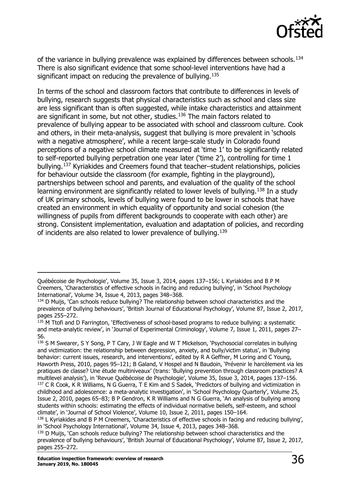

of the variance in bullying prevalence was explained by differences between schools.<sup>[134](#page-35-1)</sup> There is also significant evidence that some school-level interventions have had a significant impact on reducing the prevalence of bullying.<sup>[135](#page-35-2)</sup>

In terms of the school and classroom factors that contribute to differences in levels of bullying, research suggests that physical characteristics such as school and class size are less significant than is often suggested, while intake characteristics and attainment are significant in some, but not other, studies.<sup>[136](#page-35-3)</sup> The main factors related to prevalence of bullying appear to be associated with school and classroom culture. Cook and others, in their meta-analysis, suggest that bullying is more prevalent in 'schools with a negative atmosphere', while a recent large-scale study in Colorado found perceptions of a negative school climate measured at 'time 1' to be significantly related to self-reported bullying perpetration one year later ('time 2'), controlling for time 1 bullying.[137](#page-35-4) Kyriakides and Creemers found that teacher–student relationships, policies for behaviour outside the classroom (for example, fighting in the playground), partnerships between school and parents, and evaluation of the quality of the school learning environment are significantly related to lower levels of bullying.<sup>[138](#page-35-5)</sup> In a study of UK primary schools, levels of bullying were found to be lower in schools that have created an environment in which equality of opportunity and social cohesion (the willingness of pupils from different backgrounds to cooperate with each other) are strong. Consistent implementation, evaluation and adaptation of policies, and recording of incidents are also related to lower prevalence of bullying.[139](#page-35-6)

<span id="page-35-0"></span>Québécoise de Psychologie', Volume 35, Issue 3, 2014, pages 137–156; L Kyriakides and B P M Creemers, 'Characteristics of effective schools in facing and reducing bullying', in 'School Psychology International', Volume 34, Issue 4, 2013, pages 348–368.

<span id="page-35-1"></span><sup>&</sup>lt;sup>134</sup> D Muijs, 'Can schools reduce bullying? The relationship between school characteristics and the prevalence of bullying behaviours', 'British Journal of Educational Psychology', Volume 87, Issue 2, 2017, pages 255–272.

<span id="page-35-2"></span><sup>&</sup>lt;sup>135</sup> M Ttofi and D Farrington, 'Effectiveness of school-based programs to reduce bullying: a systematic and meta-analytic review', in 'Journal of Experimental Criminology', Volume 7, Issue 1, 2011, pages 27– 56.

<span id="page-35-3"></span><sup>136</sup> S M Swearer, S Y Song, P T Cary, J W Eagle and W T Mickelson, 'Psychosocial correlates in bullying and victimization: the relationship between depression, anxiety, and bully/victim status', in 'Bullying behavior: current issues, research, and interventions', edited by R A Geffner, M Loring and C Young, Haworth Press, 2010, pages 95–121; B Galand, V Hospel and N Baudoin, 'Prévenir le harcèlement via les pratiques de classe? Une étude multiniveaux' (trans: 'Bullying prevention through classroom practices? A multilevel analysis'), in 'Revue Québécoise de Psychologie', Volume 35, Issue 3, 2014, pages 137–156. <sup>137</sup> C R Cook, K R Williams, N G Guerra, T E Kim and S Sadek, 'Predictors of bullying and victimization in childhood and adolescence: a meta-analytic investigation', in 'School Psychology Quarterly', Volume 25, Issue 2, 2010, pages 65–83; B P Gendron, K R Williams and N G Guerra, 'An analysis of bullying among students within schools: estimating the effects of individual normative beliefs, self-esteem, and school climate', in 'Journal of School Violence', Volume 10, Issue 2, 2011, pages 150–164.

<span id="page-35-5"></span><span id="page-35-4"></span><sup>&</sup>lt;sup>138</sup> L Kyriakides and B P M Creemers, 'Characteristics of effective schools in facing and reducing bullying', in 'School Psychology International', Volume 34, Issue 4, 2013, pages 348–368.

<span id="page-35-6"></span><sup>&</sup>lt;sup>139</sup> D Muijs, 'Can schools reduce bullving? The relationship between school characteristics and the prevalence of bullying behaviours', 'British Journal of Educational Psychology', Volume 87, Issue 2, 2017, pages 255–272.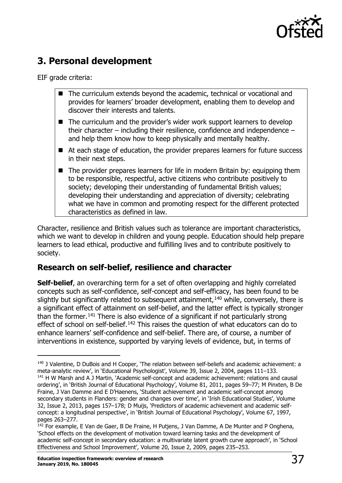

# **3. Personal development**

EIF grade criteria:

- The curriculum extends beyond the academic, technical or vocational and provides for learners' broader development, enabling them to develop and discover their interests and talents.
- $\blacksquare$  The curriculum and the provider's wider work support learners to develop their character – including their resilience, confidence and independence – and help them know how to keep physically and mentally healthy.
- At each stage of education, the provider prepares learners for future success in their next steps.
- The provider prepares learners for life in modern Britain by: equipping them to be responsible, respectful, active citizens who contribute positively to society; developing their understanding of fundamental British values; developing their understanding and appreciation of diversity; celebrating what we have in common and promoting respect for the different protected characteristics as defined in law.

Character, resilience and British values such as tolerance are important characteristics, which we want to develop in children and young people. Education should help prepare learners to lead ethical, productive and fulfilling lives and to contribute positively to society.

# <span id="page-36-0"></span>**Research on self-belief, resilience and character**

**Self-belief**, an overarching term for a set of often overlapping and highly correlated concepts such as self-confidence, self-concept and self-efficacy, has been found to be slightly but significantly related to subsequent attainment,  $140$  while, conversely, there is a significant effect of attainment on self-belief, and the latter effect is typically stronger than the former.[141](#page-36-2) There is also evidence of a significant if not particularly strong effect of school on self-belief.<sup>[142](#page-36-3)</sup> This raises the question of what educators can do to enhance learners' self-confidence and self-belief. There are, of course, a number of interventions in existence, supported by varying levels of evidence, but, in terms of

<span id="page-36-2"></span><span id="page-36-1"></span><sup>140</sup> J Valentine, D DuBois and H Cooper, 'The relation between self-beliefs and academic achievement: a meta-analytic review', in 'Educational Psychologist', Volume 39, Issue 2, 2004, pages 111–133. <sup>141</sup> H W Marsh and A J Martin, 'Academic self-concept and academic achievement: relations and causal ordering', in 'British Journal of Educational Psychology', Volume 81, 2011, pages 59–77; M Pinxten, B De Fraine, J Van Damme and E D'Haenens, 'Student achievement and academic self-concept among secondary students in Flanders: gender and changes over time', in 'Irish Educational Studies', Volume 32, Issue 2, 2013, pages 157–178; D Muijs, 'Predictors of academic achievement and academic selfconcept: a longitudinal perspective', in 'British Journal of Educational Psychology', Volume 67, 1997, pages 263–277.

<span id="page-36-3"></span><sup>&</sup>lt;sup>142</sup> For example, E Van de Gaer, B De Fraine, H Putjens, J Van Damme, A De Munter and P Onghena, 'School effects on the development of motivation toward learning tasks and the development of academic self-concept in secondary education: a multivariate latent growth curve approach', in 'School Effectiveness and School Improvement', Volume 20, Issue 2, 2009, pages 235–253.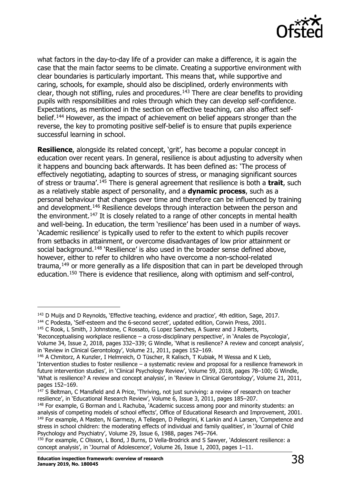

what factors in the day-to-day life of a provider can make a difference, it is again the case that the main factor seems to be climate. Creating a supportive environment with clear boundaries is particularly important. This means that, while supportive and caring, schools, for example, should also be disciplined, orderly environments with clear, though not stifling, rules and procedures.<sup>[143](#page-37-0)</sup> There are clear benefits to providing pupils with responsibilities and roles through which they can develop self-confidence. Expectations, as mentioned in the section on effective teaching, can also affect self-belief.<sup>[144](#page-37-1)</sup> However, as the impact of achievement on belief appears stronger than the reverse, the key to promoting positive self-belief is to ensure that pupils experience successful learning in school.

**Resilience**, alongside its related concept, 'grit', has become a popular concept in education over recent years. In general, resilience is about adjusting to adversity when it happens and bouncing back afterwards. It has been defined as: 'The process of effectively negotiating, adapting to sources of stress, or managing significant sources of stress or trauma'.[145](#page-37-2) There is general agreement that resilience is both a **trait**, such as a relatively stable aspect of personality, and a **dynamic process**, such as a personal behaviour that changes over time and therefore can be influenced by training and development.<sup>[146](#page-37-3)</sup> Resilience develops through interaction between the person and the environment.<sup>147</sup> It is closely related to a range of other concepts in mental health and well-being. In education, the term 'resilience' has been used in a number of ways. 'Academic resilience' is typically used to refer to the extent to which pupils recover from setbacks in attainment, or overcome disadvantages of low prior attainment or social background.<sup>[148](#page-37-5)</sup> 'Resilience' is also used in the broader sense defined above, however, either to refer to children who have overcome a non-school-related trauma, $149$  or more generally as a life disposition that can in part be developed through education.[150](#page-37-7) There is evidence that resilience, along with optimism and self-control,

<span id="page-37-0"></span><sup>&</sup>lt;sup>143</sup> D Muijs and D Reynolds, 'Effective teaching, evidence and practice', 4th edition, Sage, 2017.

<span id="page-37-1"></span><sup>&</sup>lt;sup>144</sup> C Podesta, 'Self-esteem and the 6-second secret', updated edition, Corwin Press, 2001.

<span id="page-37-2"></span><sup>&</sup>lt;sup>145</sup> C Rook, L Smith, J Johnstone, C Rossato, G Lopez Sanches, A Suarez and J Roberts,

<sup>&#</sup>x27;Reconceptualising workplace resilience – a cross-disciplinary perspective', in 'Anales de Psycologia', Volume 34, Issue 2, 2018, pages 332–339; G Windle, 'What is resilience? A review and concept analysis', in 'Review in Clinical Gerontology', Volume 21, 2011, pages 152–169.

<span id="page-37-3"></span><sup>146</sup> A Chmitorz, A Kunzler, I Helmreich, O Tüscher, R Kalisch, T Kubiak, M Wessa and K Lieb,

<sup>&#</sup>x27;Intervention studies to foster resilience – a systematic review and proposal for a resilience framework in future intervention studies', in 'Clinical Psychology Review', Volume 59, 2018, pages 78–100; G Windle, 'What is resilience? A review and concept analysis', in 'Review in Clinical Gerontology', Volume 21, 2011, pages 152–169.

<span id="page-37-4"></span><sup>&</sup>lt;sup>147</sup> S Beltman, C Mansfield and A Price, 'Thriving, not just surviving: a review of research on teacher resilience', in 'Educational Research Review', Volume 6, Issue 3, 2011, pages 185–207.

<span id="page-37-6"></span><span id="page-37-5"></span><sup>&</sup>lt;sup>148</sup> For example, G Borman and L Rachuba, `Academic success among poor and minority students: an analysis of competing models of school effects', Office of Educational Research and Improvement, 2001. <sup>149</sup> For example, A Masten, N Garmezy, A Tellegen, D Pellegrini, K Larkin and A Larsen, 'Competence and stress in school children: the moderating effects of individual and family qualities', in 'Journal of Child Psychology and Psychiatry', Volume 29, Issue 6, 1988, pages 745–764.

<span id="page-37-7"></span><sup>150</sup> For example, C Olsson, L Bond, J Burns, D Vella-Brodrick and S Sawyer, 'Adolescent resilience: a concept analysis', in 'Journal of Adolescence', Volume 26, Issue 1, 2003, pages 1–11.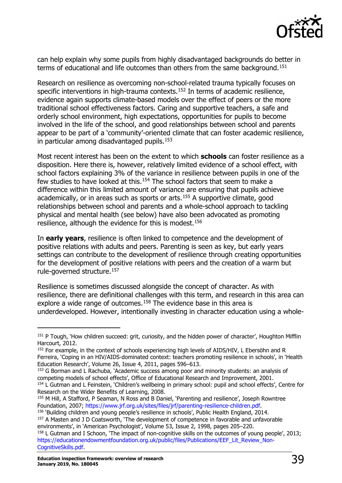

can help explain why some pupils from highly disadvantaged backgrounds do better in terms of educational and life outcomes than others from the same background.<sup>[151](#page-38-0)</sup>

Research on resilience as overcoming non-school-related trauma typically focuses on specific interventions in high-trauma contexts.<sup>[152](#page-38-1)</sup> In terms of academic resilience, evidence again supports climate-based models over the effect of peers or the more traditional school effectiveness factors. Caring and supportive teachers, a safe and orderly school environment, high expectations, opportunities for pupils to become involved in the life of the school, and good relationships between school and parents appear to be part of a 'community'-oriented climate that can foster academic resilience, in particular among disadvantaged pupils.<sup>[153](#page-38-2)</sup>

Most recent interest has been on the extent to which **schools** can foster resilience as a disposition. Here there is, however, relatively limited evidence of a school effect, with school factors explaining 3% of the variance in resilience between pupils in one of the few studies to have looked at this.[154](#page-38-3) The school factors that seem to make a difference within this limited amount of variance are ensuring that pupils achieve academically, or in areas such as sports or arts.<sup>[155](#page-38-4)</sup> A supportive climate, good relationships between school and parents and a whole-school approach to tackling physical and mental health (see below) have also been advocated as promoting resilience, although the evidence for this is modest.[156](#page-38-5)

In **early years**, resilience is often linked to competence and the development of positive relations with adults and peers. Parenting is seen as key, but early years settings can contribute to the development of resilience through creating opportunities for the development of positive relations with peers and the creation of a warm but rule-governed structure.<sup>[157](#page-38-6)</sup>

Resilience is sometimes discussed alongside the concept of character. As with resilience, there are definitional challenges with this term, and research in this area can explore a wide range of outcomes.<sup>[158](#page-38-7)</sup> The evidence base in this area is underdeveloped. However, intentionally investing in character education using a whole-

<span id="page-38-3"></span>Research on the Wider Benefits of Learning, 2008.

<span id="page-38-0"></span><sup>&</sup>lt;sup>151</sup> P Tough, 'How children succeed: grit, curiosity, and the hidden power of character', Houghton Mifflin Harcourt, 2012.

<span id="page-38-1"></span><sup>&</sup>lt;sup>152</sup> For example, in the context of schools experiencing high levels of AIDS/HIV, L Ebersöhn and R Ferreira, 'Coping in an HIV/AIDS-dominated context: teachers promoting resilience in schools', in 'Health Education Research', Volume 26, Issue 4, 2011, pages 596–613.

<span id="page-38-2"></span><sup>&</sup>lt;sup>153</sup> G Borman and L Rachuba, 'Academic success among poor and minority students: an analysis of competing models of school effects', Office of Educational Research and Improvement, 2001. <sup>154</sup> L Gutman and L Feinstein, 'Children's wellbeing in primary school: pupil and school effects', Centre for

<span id="page-38-4"></span><sup>155</sup> M Hill, A Stafford, P Seaman, N Ross and B Daniel, 'Parenting and resilience', Joseph Rowntree Foundation, 2007; [https://www.jrf.org.uk/sites/files/jrf/parenting-resilience-children.pdf.](http://www.jrf.org.uk/sites/files/jrf/parenting-resilience-children.pdf)

<span id="page-38-6"></span><span id="page-38-5"></span><sup>&</sup>lt;sup>156</sup> 'Building children and young people's resilience in schools', Public Health England, 2014. <sup>157</sup> A Masten and J D Coatsworth, 'The development of competence in favorable and unfavorable environments', in 'American Psychologist', Volume 53, Issue 2, 1998, pages 205–220.

<span id="page-38-7"></span><sup>158</sup> L Gutman and I Schoon, 'The impact of non-cognitive skills on the outcomes of young people', 2013; [https://educationendowmentfoundation.org.uk/public/files/Publications/EEF\\_Lit\\_Review\\_Non-](https://educationendowmentfoundation.org.uk/public/files/Publications/EEF_Lit_Review_Non-CognitiveSkills.pdf)[CognitiveSkills.pdf.](https://educationendowmentfoundation.org.uk/public/files/Publications/EEF_Lit_Review_Non-CognitiveSkills.pdf)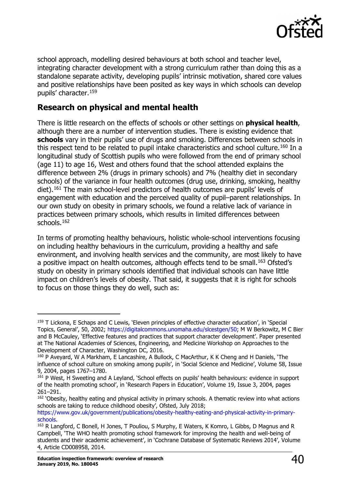

school approach, modelling desired behaviours at both school and teacher level, integrating character development with a strong curriculum rather than doing this as a standalone separate activity, developing pupils' intrinsic motivation, shared core values and positive relationships have been posited as key ways in which schools can develop pupils' character.[159](#page-39-1)

# <span id="page-39-0"></span>**Research on physical and mental health**

There is little research on the effects of schools or other settings on **physical health**, although there are a number of intervention studies. There is existing evidence that **schools** vary in their pupils' use of drugs and smoking. Differences between schools in this respect tend to be related to pupil intake characteristics and school culture.<sup>[160](#page-39-2)</sup> In a longitudinal study of Scottish pupils who were followed from the end of primary school (age 11) to age 16, West and others found that the school attended explains the difference between 2% (drugs in primary schools) and 7% (healthy diet in secondary schools) of the variance in four health outcomes (drug use, drinking, smoking, healthy diet).[161](#page-39-3) The main school-level predictors of health outcomes are pupils' levels of engagement with education and the perceived quality of pupil–parent relationships. In our own study on obesity in primary schools, we found a relative lack of variance in practices between primary schools, which results in limited differences between schools.[162](#page-39-4)

In terms of promoting healthy behaviours, holistic whole-school interventions focusing on including healthy behaviours in the curriculum, providing a healthy and safe environment, and involving health services and the community, are most likely to have a positive impact on health outcomes, although effects tend to be small.<sup>[163](#page-39-5)</sup> Ofsted's study on obesity in primary schools identified that individual schools can have little impact on children's levels of obesity. That said, it suggests that it is right for schools to focus on those things they do well, such as:

<span id="page-39-1"></span><sup>&</sup>lt;sup>159</sup> T Lickona, E Schaps and C Lewis, 'Eleven principles of effective character education', in 'Special Topics, General', 50, 2002; [https://digitalcommons.unomaha.edu/slcestgen/50;](https://digitalcommons.unomaha.edu/slcestgen/50) M W Berkowitz, M C Bier and B McCauley, 'Effective features and practices that support character development'. Paper presented at The National Academies of Sciences, Engineering, and Medicine Workshop on Approaches to the Development of Character, Washington DC, 2016.

<span id="page-39-2"></span><sup>160</sup> P Aveyard, W A Markham, E Lancashire, A Bullock, C MacArthur, K K Cheng and H Daniels, 'The influence of school culture on smoking among pupils', in 'Social Science and Medicine', Volume 58, Issue 9, 2004, pages 1767–1780.

<span id="page-39-3"></span><sup>161</sup> P West, H Sweeting and A Leyland, 'School effects on pupils' health behaviours: evidence in support of the health promoting school', in 'Research Papers in Education', Volume 19, Issue 3, 2004, pages 261–291.

<span id="page-39-4"></span><sup>&</sup>lt;sup>162</sup> 'Obesity, healthy eating and physical activity in primary schools. A thematic review into what actions schools are taking to reduce childhood obesity', Ofsted, July 2018;

[https://www.gov.uk/government/publications/obesity-healthy-eating-and-physical-activity-in-primary](https://www.gov.uk/government/publications/obesity-healthy-eating-and-physical-activity-in-primary-schools)[schools.](https://www.gov.uk/government/publications/obesity-healthy-eating-and-physical-activity-in-primary-schools)

<span id="page-39-5"></span><sup>&</sup>lt;sup>163</sup> R Langford, C Bonell, H Jones, T Pouliou, S Murphy, E Waters, K Komro, L Gibbs, D Magnus and R Campbell, 'The WHO health promoting school framework for improving the health and well-being of students and their academic achievement', in 'Cochrane Database of Systematic Reviews 2014', Volume 4, Article CD008958, 2014.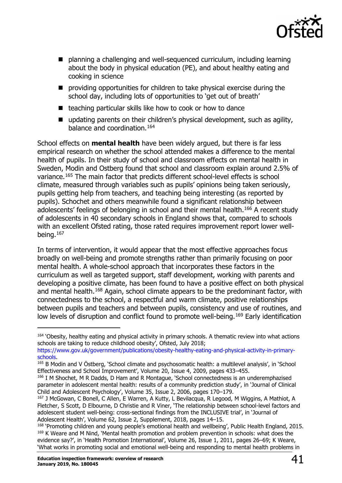

- planning a challenging and well-sequenced curriculum, including learning about the body in physical education (PE), and about healthy eating and cooking in science
- $\blacksquare$  providing opportunities for children to take physical exercise during the school day, including lots of opportunities to 'get out of breath'
- $\blacksquare$  teaching particular skills like how to cook or how to dance
- updating parents on their children's physical development, such as agility, balance and coordination.[164](#page-40-0)

School effects on **mental health** have been widely argued, but there is far less empirical research on whether the school attended makes a difference to the mental health of pupils. In their study of school and classroom effects on mental health in Sweden, Modin and Ostberg found that school and classroom explain around 2.5% of variance.[165](#page-40-1) The main factor that predicts different school-level effects is school climate, measured through variables such as pupils' opinions being taken seriously, pupils getting help from teachers, and teaching being interesting (as reported by pupils). Schochet and others meanwhile found a significant relationship between adolescents' feelings of belonging in school and their mental health.<sup>[166](#page-40-2)</sup> A recent study of adolescents in 40 secondary schools in England shows that, compared to schools with an excellent Ofsted rating, those rated requires improvement report lower wellbeing.[167](#page-40-3)

In terms of intervention, it would appear that the most effective approaches focus broadly on well-being and promote strengths rather than primarily focusing on poor mental health. A whole-school approach that incorporates these factors in the curriculum as well as targeted support, staff development, working with parents and developing a positive climate, has been found to have a positive effect on both physical and mental health.<sup>[168](#page-40-4)</sup> Again, school climate appears to be the predominant factor, with connectedness to the school, a respectful and warm climate, positive relationships between pupils and teachers and between pupils, consistency and use of routines, and low levels of disruption and conflict found to promote well-being.<sup>[169](#page-40-5)</sup> Early identification

<span id="page-40-0"></span><sup>&</sup>lt;sup>164</sup> 'Obesity, healthy eating and physical activity in primary schools. A thematic review into what actions schools are taking to reduce childhood obesity', Ofsted, July 2018;

[https://www.gov.uk/government/publications/obesity-healthy-eating-and-physical-activity-in-primary](https://www.gov.uk/government/publications/obesity-healthy-eating-and-physical-activity-in-primary-schools)[schools.](https://www.gov.uk/government/publications/obesity-healthy-eating-and-physical-activity-in-primary-schools)

<span id="page-40-1"></span><sup>&</sup>lt;sup>165</sup> B Modin and V Östberg, 'School climate and psychosomatic health: a multilevel analysis', in 'School Effectiveness and School Improvement', Volume 20, Issue 4, 2009, pages 433–455.

<span id="page-40-2"></span><sup>166</sup> I M Shochet, M R Dadds, D Ham and R Montague, 'School connectedness is an underemphazised parameter in adolescent mental health: results of a community prediction study', in 'Journal of Clinical Child and Adolescent Psychology', Volume 35, Issue 2, 2006, pages 170–179.

<span id="page-40-3"></span><sup>167</sup> J McGowan, C Bonell, C Allen, E Warren, A Kutty, L Bevilacqua, R Legood, M Wiggins, A Mathiot, A Fletcher, S Scott, D Elbourne, D Christie and R Viner, 'The relationship between school-level factors and adolescent student well-being: cross-sectional findings from the INCLUSIVE trial', in 'Journal of Adolescent Health', Volume 62, Issue 2, Supplement, 2018, pages 14–15.

<span id="page-40-5"></span><span id="page-40-4"></span><sup>168</sup> 'Promoting children and young people's emotional health and wellbeing', Public Health England, 2015. <sup>169</sup> K Weare and M Nind, 'Mental health promotion and problem prevention in schools: what does the evidence say?', in 'Health Promotion International', Volume 26, Issue 1, 2011, pages 26–69; K Weare, 'What works in promoting social and emotional well-being and responding to mental health problems in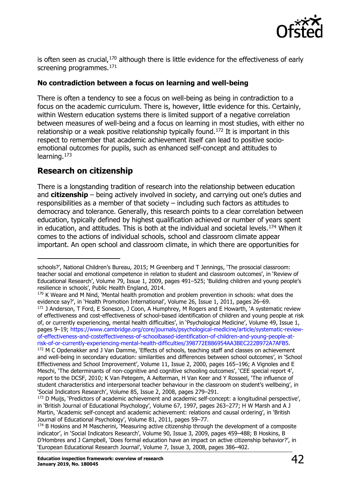

is often seen as crucial, $170$  although there is little evidence for the effectiveness of early screening programmes.<sup>[171](#page-41-2)</sup>

#### **No contradiction between a focus on learning and well-being**

There is often a tendency to see a focus on well-being as being in contradiction to a focus on the academic curriculum. There is, however, little evidence for this. Certainly, within Western education systems there is limited support of a negative correlation between measures of well-being and a focus on learning in most studies, with either no relationship or a weak positive relationship typically found.<sup>[172](#page-41-3)</sup> It is important in this respect to remember that academic achievement itself can lead to positive socioemotional outcomes for pupils, such as enhanced self-concept and attitudes to learning.[173](#page-41-4)

# <span id="page-41-0"></span>**Research on citizenship**

There is a longstanding tradition of research into the relationship between education and **citizenship** – being actively involved in society, and carrying out one's duties and responsibilities as a member of that society – including such factors as attitudes to democracy and tolerance. Generally, this research points to a clear correlation between education, typically defined by highest qualification achieved or number of years spent in education, and attitudes. This is both at the individual and societal levels.<sup>[174](#page-41-5)</sup> When it comes to the actions of individual schools, school and classroom climate appear important. An open school and classroom climate, in which there are opportunities for

<span id="page-41-2"></span><sup>171</sup> J Anderson, T Ford, E Soneson, J Coon, A Humphrey, M Rogers and E Howarth, `A systematic review of effectiveness and cost-effectiveness of school-based identification of children and young people at risk of, or currently experiencing, mental health difficulties', in 'Psychological Medicine', Volume 49, Issue 1, pages 9–19; [https://www.cambridge.org/core/journals/psychological-medicine/article/systematic-review](https://www.cambridge.org/core/journals/psychological-medicine/article/systematic-review-of-effectiveness-and-costeffectiveness-of-schoolbased-identification-of-children-and-young-people-at-risk-of-or-currently-experiencing-mental-health-difficulties/398772E886954AA3BEC222B972A7AFB5)[of-effectiveness-and-costeffectiveness-of-schoolbased-identification-of-children-and-young-people-at](https://www.cambridge.org/core/journals/psychological-medicine/article/systematic-review-of-effectiveness-and-costeffectiveness-of-schoolbased-identification-of-children-and-young-people-at-risk-of-or-currently-experiencing-mental-health-difficulties/398772E886954AA3BEC222B972A7AFB5)[risk-of-or-currently-experiencing-mental-health-difficulties/398772E886954AA3BEC222B972A7AFB5.](https://www.cambridge.org/core/journals/psychological-medicine/article/systematic-review-of-effectiveness-and-costeffectiveness-of-schoolbased-identification-of-children-and-young-people-at-risk-of-or-currently-experiencing-mental-health-difficulties/398772E886954AA3BEC222B972A7AFB5)

schools?', National Children's Bureau, 2015; M Greenberg and T Jennings, 'The prosocial classroom: teacher social and emotional competence in relation to student and classroom outcomes', in 'Review of Educational Research', Volume 79, Issue 1, 2009, pages 491–525; 'Building children and young people's resilience in schools', Public Health England, 2014.

<span id="page-41-1"></span><sup>&</sup>lt;sup>170</sup> K Weare and M Nind, 'Mental health promotion and problem prevention in schools: what does the evidence say?', in 'Health Promotion International', Volume 26, Issue 1, 2011, pages 26–69.

<span id="page-41-3"></span><sup>&</sup>lt;sup>172</sup> M C Opdenakker and J Van Damme, 'Effects of schools, teaching staff and classes on achievement and well-being in secondary education: similarities and differences between school outcomes', in 'School Effectiveness and School Improvement', Volume 11, Issue 2, 2000, pages 165–196; A Vignoles and E Meschi, 'The determinants of non-cognitive and cognitive schooling outcomes', 'CEE special report 4', report to the DCSF, 2010; K Van Petegem, A Aelterman, H Van Keer and Y Rosseel, 'The influence of student characteristics and interpersonal teacher behaviour in the classroom on student's wellbeing', in 'Social Indicators Research', Volume 85, Issue 2, 2008, pages 279–291.

<span id="page-41-4"></span><sup>&</sup>lt;sup>173</sup> D Muijs, 'Predictors of academic achievement and academic self-concept: a longitudinal perspective', in 'British Journal of Educational Psychology', Volume 67, 1997, pages 263–277; H W Marsh and A J Martin, 'Academic self-concept and academic achievement: relations and causal ordering', in 'British Journal of Educational Psychology', Volume 81, 2011, pages 59–77.

<span id="page-41-5"></span><sup>&</sup>lt;sup>174</sup> B Hoskins and M Mascherini, 'Measuring active citizenship through the development of a composite indicator', in 'Social Indicators Research', Volume 90, Issue 3, 2009, pages 459–488; B Hoskins, B D'Hombres and J Campbell, 'Does formal education have an impact on active citizenship behavior?', in 'European Educational Research Journal', Volume 7, Issue 3, 2008, pages 386–402.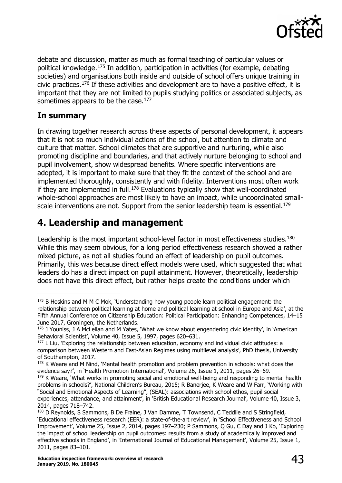

debate and discussion, matter as much as formal teaching of particular values or political knowledge.<sup>[175](#page-42-2)</sup> In addition, participation in activities (for example, debating societies) and organisations both inside and outside of school offers unique training in civic practices.<sup>[176](#page-42-3)</sup> If these activities and development are to have a positive effect, it is important that they are not limited to pupils studying politics or associated subjects, as sometimes appears to be the case.<sup>[177](#page-42-4)</sup>

#### <span id="page-42-0"></span>**In summary**

In drawing together research across these aspects of personal development, it appears that it is not so much individual actions of the school, but attention to climate and culture that matter. School climates that are supportive and nurturing, while also promoting discipline and boundaries, and that actively nurture belonging to school and pupil involvement, show widespread benefits. Where specific interventions are adopted, it is important to make sure that they fit the context of the school and are implemented thoroughly, consistently and with fidelity. Interventions most often work if they are implemented in full.<sup>178</sup> Evaluations typically show that well-coordinated whole-school approaches are most likely to have an impact, while uncoordinated small-scale interventions are not. Support from the senior leadership team is essential.<sup>[179](#page-42-6)</sup>

# <span id="page-42-1"></span>**4. Leadership and management**

Leadership is the most important school-level factor in most effectiveness studies.<sup>[180](#page-42-7)</sup> While this may seem obvious, for a long period effectiveness research showed a rather mixed picture, as not all studies found an effect of leadership on pupil outcomes. Primarily, this was because direct effect models were used, which suggested that what leaders do has a direct impact on pupil attainment. However, theoretically, leadership does not have this direct effect, but rather helps create the conditions under which

<span id="page-42-2"></span><sup>&</sup>lt;sup>175</sup> B Hoskins and M M C Mok, 'Understanding how young people learn political engagement: the relationship between political learning at home and political learning at school in Europe and Asia', at the Fifth Annual Conference on Citizenship Education: Political Participation: Enhancing Competences, 14–15 June 2017, Groningen, the Netherlands.

<span id="page-42-3"></span><sup>&</sup>lt;sup>176</sup> J Youniss, J A McLellan and M Yates, 'What we know about engendering civic identity', in 'American Behavioral Scientist', Volume 40, Issue 5, 1997, pages 620–631.

<span id="page-42-4"></span> $177$  L Liu, 'Exploring the relationship between education, economy and individual civic attitudes: a comparison between Western and East-Asian Regimes using multilevel analysis', PhD thesis, University of Southampton, 2017.

<span id="page-42-5"></span><sup>&</sup>lt;sup>178</sup> K Weare and M Nind, 'Mental health promotion and problem prevention in schools: what does the evidence say?', in 'Health Promotion International', Volume 26, Issue 1, 2011, pages 26–69.

<span id="page-42-6"></span><sup>&</sup>lt;sup>179</sup> K Weare, 'What works in promoting social and emotional well-being and responding to mental health problems in schools?', National Children's Bureau, 2015; R Banerjee, K Weare and W Farr, 'Working with "Social and Emotional Aspects of Learning", (SEAL): associations with school ethos, pupil social experiences, attendance, and attainment', in 'British Educational Research Journal', Volume 40, Issue 3, 2014, pages 718–742.

<span id="page-42-7"></span><sup>&</sup>lt;sup>180</sup> D Reynolds, S Sammons, B De Fraine, J Van Damme, T Townsend, C Teddlie and S Stringfield, 'Educational effectiveness research (EER): a state-of-the-art review', in 'School Effectiveness and School Improvement', Volume 25, Issue 2, 2014, pages 197–230; P Sammons, Q Gu, C Day and J Ko, 'Exploring the impact of school leadership on pupil outcomes: results from a study of academically improved and effective schools in England', in 'International Journal of Educational Management', Volume 25, Issue 1, 2011, pages 83–101.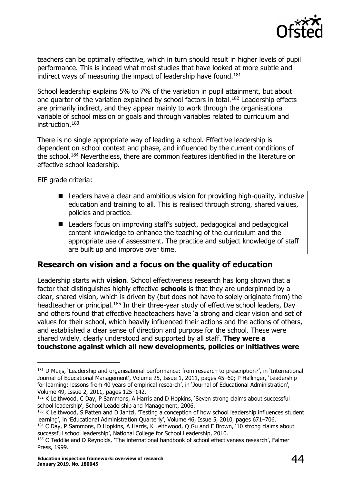

teachers can be optimally effective, which in turn should result in higher levels of pupil performance. This is indeed what most studies that have looked at more subtle and indirect ways of measuring the impact of leadership have found.<sup>[181](#page-43-1)</sup>

School leadership explains 5% to 7% of the variation in pupil attainment, but about one quarter of the variation explained by school factors in total.<sup>[182](#page-43-2)</sup> Leadership effects are primarily indirect, and they appear mainly to work through the organisational variable of school mission or goals and through variables related to curriculum and instruction.[183](#page-43-3)

There is no single appropriate way of leading a school. Effective leadership is dependent on school context and phase, and influenced by the current conditions of the school.[184](#page-43-4) Nevertheless, there are common features identified in the literature on effective school leadership.

EIF grade criteria:

- Leaders have a clear and ambitious vision for providing high-quality, inclusive education and training to all. This is realised through strong, shared values, policies and practice.
- Leaders focus on improving staff's subject, pedagogical and pedagogical content knowledge to enhance the teaching of the curriculum and the appropriate use of assessment. The practice and subject knowledge of staff are built up and improve over time.

# <span id="page-43-0"></span>**Research on vision and a focus on the quality of education**

Leadership starts with **vision**. School effectiveness research has long shown that a factor that distinguishes highly effective **schools** is that they are underpinned by a clear, shared vision, which is driven by (but does not have to solely originate from) the headteacher or principal.<sup>[185](#page-43-5)</sup> In their three-year study of effective school leaders, Day and others found that effective headteachers have 'a strong and clear vision and set of values for their school, which heavily influenced their actions and the actions of others, and established a clear sense of direction and purpose for the school. These were shared widely, clearly understood and supported by all staff. **They were a touchstone against which all new developments, policies or initiatives were** 

<span id="page-43-1"></span><sup>181</sup> D Muijs, 'Leadership and organisational performance: from research to prescription?', in 'International Journal of Educational Management', Volume 25, Issue 1, 2011, pages 45–60; P Hallinger, 'Leadership for learning: lessons from 40 years of empirical research', in 'Journal of Educational Administration', Volume 49, Issue 2, 2011, pages 125–142.

<span id="page-43-2"></span><sup>&</sup>lt;sup>182</sup> K Leithwood, C Day, P Sammons, A Harris and D Hopkins, 'Seven strong claims about successful school leadership', School Leadership and Management, 2006.

<span id="page-43-3"></span><sup>&</sup>lt;sup>183</sup> K Leithwood, S Patten and D Jantzi, 'Testing a conception of how school leadership influences student learning', in 'Educational Administration Quarterly', Volume 46, Issue 5, 2010, pages 671–706.

<span id="page-43-4"></span><sup>&</sup>lt;sup>184</sup> C Day, P Sammons, D Hopkins, A Harris, K Leithwood, Q Gu and E Brown, 10 strong claims about successful school leadership', National College for School Leadership, 2010.

<span id="page-43-5"></span><sup>&</sup>lt;sup>185</sup> C Teddlie and D Reynolds, 'The international handbook of school effectiveness research', Falmer Press, 1999.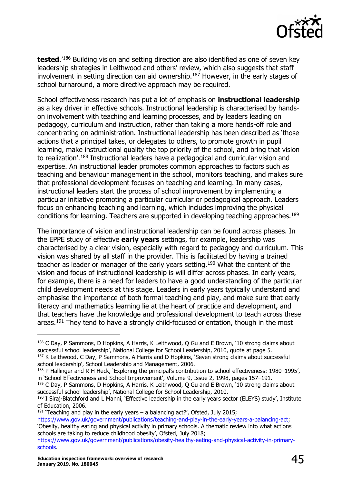

**tested**.'[186](#page-44-0) Building vision and setting direction are also identified as one of seven key leadership strategies in Leithwood and others' review, which also suggests that staff involvement in setting direction can aid ownership.<sup>[187](#page-44-1)</sup> However, in the early stages of school turnaround, a more directive approach may be required.

School effectiveness research has put a lot of emphasis on **instructional leadership** as a key driver in effective schools. Instructional leadership is characterised by handson involvement with teaching and learning processes, and by leaders leading on pedagogy, curriculum and instruction, rather than taking a more hands-off role and concentrating on administration. Instructional leadership has been described as 'those actions that a principal takes, or delegates to others, to promote growth in pupil learning, make instructional quality the top priority of the school, and bring that vision to realization'.[188](#page-44-2) Instructional leaders have a pedagogical and curricular vision and expertise. An instructional leader promotes common approaches to factors such as teaching and behaviour management in the school, monitors teaching, and makes sure that professional development focuses on teaching and learning. In many cases, instructional leaders start the process of school improvement by implementing a particular initiative promoting a particular curricular or pedagogical approach. Leaders focus on enhancing teaching and learning, which includes improving the physical conditions for learning. Teachers are supported in developing teaching approaches.<sup>[189](#page-44-3)</sup>

The importance of vision and instructional leadership can be found across phases. In the EPPE study of effective **early years** settings, for example, leadership was characterised by a clear vision, especially with regard to pedagogy and curriculum. This vision was shared by all staff in the provider. This is facilitated by having a trained teacher as leader or manager of the early years setting.[190](#page-44-4) What the content of the vision and focus of instructional leadership is will differ across phases. In early years, for example, there is a need for leaders to have a good understanding of the particular child development needs at this stage. Leaders in early years typically understand and emphasise the importance of both formal teaching and play, and make sure that early literacy and mathematics learning lie at the heart of practice and development, and that teachers have the knowledge and professional development to teach across these areas.<sup>[191](#page-44-5)</sup> They tend to have a strongly child-focused orientation, though in the most

<span id="page-44-5"></span><sup>191</sup> 'Teaching and play in the early years  $-$  a balancing act?', Ofsted, July 2015; [https://www.gov.uk/government/publications/teaching-and-play-in-the-early-years-a-balancing-act;](https://www.gov.uk/government/publications/teaching-and-play-in-the-early-years-a-balancing-act) 'Obesity, healthy eating and physical activity in primary schools. A thematic review into what actions schools are taking to reduce childhood obesity', Ofsted, July 2018;

<span id="page-44-0"></span><sup>186</sup> C Day, P Sammons, D Hopkins, A Harris, K Leithwood, O Gu and E Brown, '10 strong claims about successful school leadership', National College for School Leadership, 2010, quote at page 5. <sup>187</sup> K Leithwood, C Day, P Sammons, A Harris and D Hopkins, 'Seven strong claims about successful school leadership', School Leadership and Management, 2006.

<span id="page-44-2"></span><span id="page-44-1"></span><sup>188</sup> P Hallinger and R H Heck, 'Exploring the principal's contribution to school effectiveness: 1980-1995', in 'School Effectiveness and School Improvement', Volume 9, Issue 2, 1998, pages 157–191.

<span id="page-44-3"></span><sup>&</sup>lt;sup>189</sup> C Day, P Sammons, D Hopkins, A Harris, K Leithwood, Q Gu and E Brown, '10 strong claims about successful school leadership', National College for School Leadership, 2010.

<span id="page-44-4"></span><sup>190</sup> I Siraj-Blatchford and L Manni, 'Effective leadership in the early years sector (ELEYS) study', Institute of Education, 2006.

[https://www.gov.uk/government/publications/obesity-healthy-eating-and-physical-activity-in-primary](https://www.gov.uk/government/publications/obesity-healthy-eating-and-physical-activity-in-primary-schools)[schools.](https://www.gov.uk/government/publications/obesity-healthy-eating-and-physical-activity-in-primary-schools)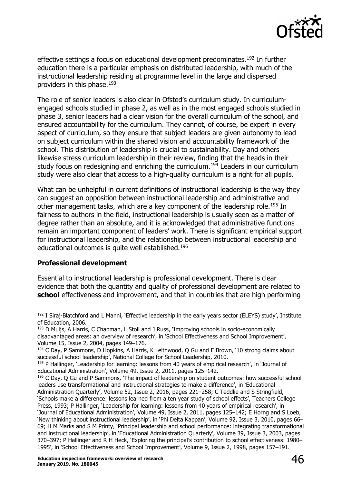

effective settings a focus on educational development predominates.<sup>[192](#page-45-0)</sup> In further education there is a particular emphasis on distributed leadership, with much of the instructional leadership residing at programme level in the large and dispersed providers in this phase.  $193$ 

The role of senior leaders is also clear in Ofsted's curriculum study. In curriculumengaged schools studied in phase 2, as well as in the most engaged schools studied in phase 3, senior leaders had a clear vision for the overall curriculum of the school, and ensured accountability for the curriculum. They cannot, of course, be expert in every aspect of curriculum, so they ensure that subject leaders are given autonomy to lead on subject curriculum within the shared vision and accountability framework of the school. This distribution of leadership is crucial to sustainability. Day and others likewise stress curriculum leadership in their review, finding that the heads in their study focus on redesigning and enriching the curriculum.<sup>[194](#page-45-2)</sup> Leaders in our curriculum study were also clear that access to a high-quality curriculum is a right for all pupils.

What can be unhelpful in current definitions of instructional leadership is the way they can suggest an opposition between instructional leadership and administrative and other management tasks, which are a key component of the leadership role.<sup>[195](#page-45-3)</sup> In fairness to authors in the field, instructional leadership is usually seen as a matter of degree rather than an absolute, and it is acknowledged that administrative functions remain an important component of leaders' work. There is significant empirical support for instructional leadership, and the relationship between instructional leadership and educational outcomes is quite well established.<sup>[196](#page-45-4)</sup>

#### **Professional development**

Essential to instructional leadership is professional development. There is clear evidence that both the quantity and quality of professional development are related to **school** effectiveness and improvement, and that in countries that are high performing

<span id="page-45-0"></span><sup>192</sup> I Siraj-Blatchford and L Manni, 'Effective leadership in the early years sector (ELEYS) study', Institute of Education, 2006.

<span id="page-45-1"></span> $193$  D Muijs, A Harris, C Chapman, L Stoll and J Russ, 'Improving schools in socio-economically disadvantaged areas: an overview of research', in 'School Effectiveness and School Improvement', Volume 15, Issue 2, 2004, pages 149–176.

<span id="page-45-2"></span><sup>&</sup>lt;sup>194</sup> C Day, P Sammons, D Hopkins, A Harris, K Leithwood, Q Gu and E Brown, '10 strong claims about successful school leadership', National College for School Leadership, 2010.

<span id="page-45-3"></span><sup>195</sup> P Hallinger, 'Leadership for learning: lessons from 40 years of empirical research', in 'Journal of Educational Administration', Volume 49, Issue 2, 2011, pages 125–142.

<span id="page-45-4"></span><sup>196</sup> C Day, Q Gu and P Sammons, 'The impact of leadership on student outcomes: how successful school leaders use transformational and instructional strategies to make a difference', in 'Educational Administration Quarterly', Volume 52, Issue 2, 2016, pages 221–258; C Teddlie and S Stringfield, 'Schools make a difference: lessons learned from a ten year study of school effects', Teachers College Press, 1993; P Hallinger, 'Leadership for learning: lessons from 40 years of empirical research', in 'Journal of Educational Administration', Volume 49, Issue 2, 2011, pages 125–142; E Horng and S Loeb, 'New thinking about instructional leadership', in 'Phi Delta Kappan', Volume 92, Issue 3, 2010, pages 66– 69; H M Marks and S M Printy, 'Principal leadership and school performance: integrating transformational and instructional leadership', in 'Educational Administration Quarterly', Volume 39, Issue 3, 2003, pages 370–397; P Hallinger and R H Heck, 'Exploring the principal's contribution to school effectiveness: 1980– 1995', in 'School Effectiveness and School Improvement', Volume 9, Issue 2, 1998, pages 157–191.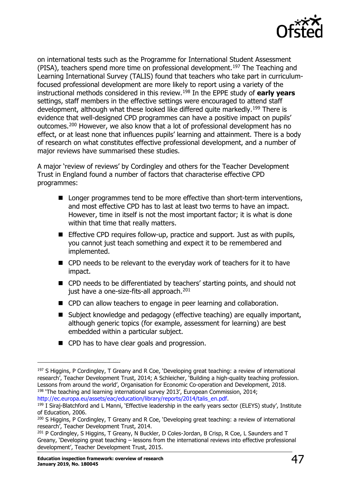

on international tests such as the Programme for International Student Assessment (PISA), teachers spend more time on professional development.[197](#page-46-0) The Teaching and Learning International Survey (TALIS) found that teachers who take part in curriculumfocused professional development are more likely to report using a variety of the instructional methods considered in this review.[198](#page-46-1) In the EPPE study of **early years** settings, staff members in the effective settings were encouraged to attend staff development, although what these looked like differed quite markedly.<sup>[199](#page-46-2)</sup> There is evidence that well-designed CPD programmes can have a positive impact on pupils' outcomes.<sup>[200](#page-46-3)</sup> However, we also know that a lot of professional development has no effect, or at least none that influences pupils' learning and attainment. There is a body of research on what constitutes effective professional development, and a number of major reviews have summarised these studies.

A major 'review of reviews' by Cordingley and others for the Teacher Development Trust in England found a number of factors that characterise effective CPD programmes:

- Longer programmes tend to be more effective than short-term interventions, and most effective CPD has to last at least two terms to have an impact. However, time in itself is not the most important factor; it is what is done within that time that really matters.
- **Effective CPD requires follow-up, practice and support. Just as with pupils,** you cannot just teach something and expect it to be remembered and implemented.
- CPD needs to be relevant to the everyday work of teachers for it to have impact.
- CPD needs to be differentiated by teachers' starting points, and should not just have a one-size-fits-all approach.<sup>[201](#page-46-4)</sup>
- CPD can allow teachers to engage in peer learning and collaboration.
- Subject knowledge and pedagogy (effective teaching) are equally important, although generic topics (for example, assessment for learning) are best embedded within a particular subject.
- CPD has to have clear goals and progression.

<span id="page-46-2"></span><span id="page-46-1"></span> $199$  I Siraj-Blatchford and L Manni, 'Effective leadership in the early years sector (ELEYS) study', Institute

<span id="page-46-0"></span><sup>&</sup>lt;sup>197</sup> S Higgins, P Cordingley, T Greany and R Coe, 'Developing great teaching: a review of international research', Teacher Development Trust, 2014; A Schleicher, 'Building a high-quality teaching profession. Lessons from around the world', Organisation for Economic Co-operation and Development, 2018.  $198$  'The teaching and learning international survey 2013', European Commission, 2014; [http://ec.europa.eu/assets/eac/education/library/reports/2014/talis\\_en.pdf.](http://ec.europa.eu/assets/eac/education/library/reports/2014/talis_en.pdf)

of Education, 2006.

<span id="page-46-3"></span><sup>200</sup> S Higgins, P Cordingley, T Greany and R Coe, 'Developing great teaching: a review of international research', Teacher Development Trust, 2014.

<span id="page-46-4"></span><sup>201</sup> P Cordingley, S Higgins, T Greany, N Buckler, D Coles-Jordan, B Crisp, R Coe, L Saunders and T Greany, 'Developing great teaching – lessons from the international reviews into effective professional development', Teacher Development Trust, 2015.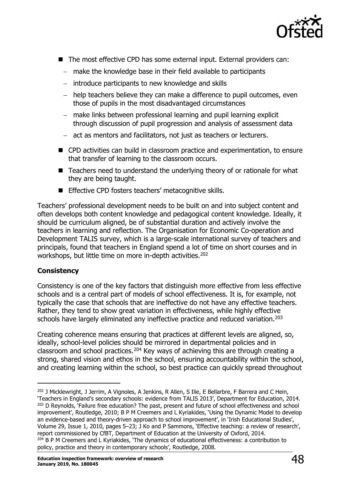

- The most effective CPD has some external input. External providers can:
	- − make the knowledge base in their field available to participants
	- − introduce participants to new knowledge and skills
	- − help teachers believe they can make a difference to pupil outcomes, even those of pupils in the most disadvantaged circumstances
	- − make links between professional learning and pupil learning explicit through discussion of pupil progression and analysis of assessment data
	- − act as mentors and facilitators, not just as teachers or lecturers.
- CPD activities can build in classroom practice and experimentation, to ensure that transfer of learning to the classroom occurs.
- Teachers need to understand the underlying theory of or rationale for what they are being taught.
- **Effective CPD fosters teachers' metacognitive skills.**

Teachers' professional development needs to be built on and into subject content and often develops both content knowledge and pedagogical content knowledge. Ideally, it should be curriculum aligned, be of substantial duration and actively involve the teachers in learning and reflection. The Organisation for Economic Co-operation and Development TALIS survey, which is a large-scale international survey of teachers and principals, found that teachers in England spend a lot of time on short courses and in workshops, but little time on more in-depth activities.<sup>[202](#page-47-0)</sup>

#### **Consistency**

Consistency is one of the key factors that distinguish more effective from less effective schools and is a central part of models of school effectiveness. It is, for example, not typically the case that schools that are ineffective do not have any effective teachers. Rather, they tend to show great variation in effectiveness, while highly effective schools have largely eliminated any ineffective practice and reduced variation.<sup>[203](#page-47-1)</sup>

Creating coherence means ensuring that practices at different levels are aligned, so, ideally, school-level policies should be mirrored in departmental policies and in classroom and school practices.<sup>[204](#page-47-2)</sup> Key ways of achieving this are through creating a strong, shared vision and ethos in the school, ensuring accountability within the school, and creating learning within the school, so best practice can quickly spread throughout

<span id="page-47-2"></span><span id="page-47-1"></span><span id="page-47-0"></span><sup>&</sup>lt;sup>202</sup> J Micklewright, J Jerrim, A Vignoles, A Jenkins, R Allen, S Ilie, E Bellarbre, F Barrera and C Hein, 'Teachers in England's secondary schools: evidence from TALIS 2013', Department for Education, 2014. <sup>203</sup> D Reynolds, 'Failure free education? The past, present and future of school effectiveness and school improvement', Routledge, 2010; B P M Creemers and L Kyriakides, 'Using the Dynamic Model to develop an evidence-based and theory-driven approach to school improvement', in 'Irish Educational Studies', Volume 29, Issue 1, 2010, pages 5–23; J Ko and P Sammons, 'Effective teaching: a review of research', report commissioned by CfBT, Department of Education at the University of Oxford, 2014. <sup>204</sup> B P M Creemers and L Kyriakides, 'The dynamics of educational effectiveness: a contribution to policy, practice and theory in contemporary schools', Routledge, 2008.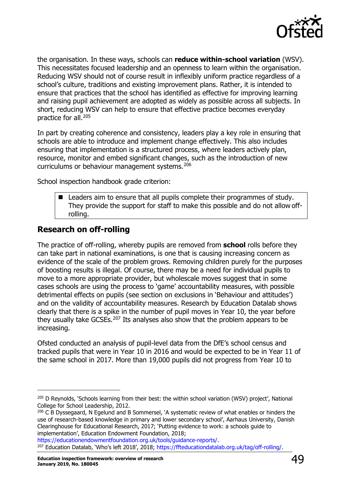

the organisation. In these ways, schools can **reduce within-school variation** (WSV). This necessitates focused leadership and an openness to learn within the organisation. Reducing WSV should not of course result in inflexibly uniform practice regardless of a school's culture, traditions and existing improvement plans. Rather, it is intended to ensure that practices that the school has identified as effective for improving learning and raising pupil achievement are adopted as widely as possible across all subjects. In short, reducing WSV can help to ensure that effective practice becomes everyday practice for all.[205](#page-48-1)

In part by creating coherence and consistency, leaders play a key role in ensuring that schools are able to introduce and implement change effectively. This also includes ensuring that implementation is a structured process, where leaders actively plan, resource, monitor and embed significant changes, such as the introduction of new curriculums or behaviour management systems.[206](#page-48-2)

School inspection handbook grade criterion:

■ Leaders aim to ensure that all pupils complete their programmes of study. They provide the support for staff to make this possible and do not allow offrolling.

### <span id="page-48-0"></span>**Research on off-rolling**

The practice of off-rolling, whereby pupils are removed from **school** rolls before they can take part in national examinations, is one that is causing increasing concern as evidence of the scale of the problem grows. Removing children purely for the purposes of boosting results is illegal. Of course, there may be a need for individual pupils to move to a more appropriate provider, but wholescale moves suggest that in some cases schools are using the process to 'game' accountability measures, with possible detrimental effects on pupils (see section on exclusions in 'Behaviour and attitudes') and on the validity of accountability measures. Research by Education Datalab shows clearly that there is a spike in the number of pupil moves in Year 10, the year before they usually take GCSEs.<sup>[207](#page-48-3)</sup> Its analyses also show that the problem appears to be increasing.

Ofsted conducted an analysis of pupil-level data from the DfE's school census and tracked pupils that were in Year 10 in 2016 and would be expected to be in Year 11 of the same school in 2017. More than 19,000 pupils did not progress from Year 10 to

<span id="page-48-3"></span>[https://educationendowmentfoundation.org.uk/tools/guidance-reports/.](https://educationendowmentfoundation.org.uk/tools/guidance-reports/) <sup>207</sup> Education Datalab, 'Who's left 2018', 2018; [https://ffteducationdatalab.org.uk/tag/off-rolling/.](https://ffteducationdatalab.org.uk/tag/off-rolling/)

<span id="page-48-1"></span><sup>&</sup>lt;sup>205</sup> D Reynolds, 'Schools learning from their best: the within school variation (WSV) project', National College for School Leadership, 2012.

<span id="page-48-2"></span><sup>&</sup>lt;sup>206</sup> C B Dyssegaard, N Egelund and B Sommersel, 'A systematic review of what enables or hinders the use of research-based knowledge in primary and lower secondary school', Aarhaus University, Danish Clearinghouse for Educational Research, 2017; 'Putting evidence to work: a schools guide to implementation', Education Endowment Foundation, 2018;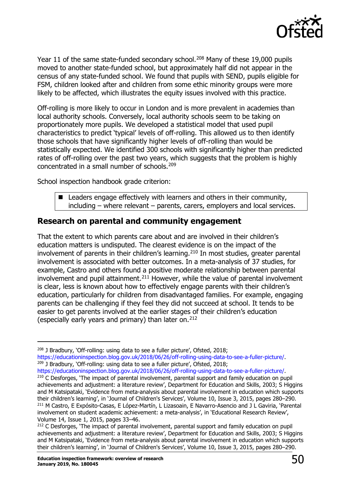

Year 11 of the same state-funded secondary school.<sup>[208](#page-49-1)</sup> Many of these 19,000 pupils moved to another state-funded school, but approximately half did not appear in the census of any state-funded school. We found that pupils with SEND, pupils eligible for FSM, children looked after and children from some ethic minority groups were more likely to be affected, which illustrates the equity issues involved with this practice.

Off-rolling is more likely to occur in London and is more prevalent in academies than local authority schools. Conversely, local authority schools seem to be taking on proportionately more pupils. We developed a statistical model that used pupil characteristics to predict 'typical' levels of off-rolling. This allowed us to then identify those schools that have significantly higher levels of off-rolling than would be statistically expected. We identified 300 schools with significantly higher than predicted rates of off-rolling over the past two years, which suggests that the problem is highly concentrated in a small number of schools.[209](#page-49-2)

School inspection handbook grade criterion:

 $\blacksquare$  Leaders engage effectively with learners and others in their community, including – where relevant – parents, carers, employers and local services.

#### <span id="page-49-0"></span>**Research on parental and community engagement**

That the extent to which parents care about and are involved in their children's education matters is undisputed. The clearest evidence is on the impact of the involvement of parents in their children's learning.<sup>[210](#page-49-3)</sup> In most studies, greater parental involvement is associated with better outcomes. In a meta-analysis of 37 studies, for example, Castro and others found a positive moderate relationship between parental involvement and pupil attainment. $211$  However, while the value of parental involvement is clear, less is known about how to effectively engage parents with their children's education, particularly for children from disadvantaged families. For example, engaging parents can be challenging if they feel they did not succeed at school. It tends to be easier to get parents involved at the earlier stages of their children's education (especially early years and primary) than later on.  $212$ 

<span id="page-49-3"></span><span id="page-49-2"></span>[https://educationinspection.blog.gov.uk/2018/06/26/off-rolling-using-data-to-see-a-fuller-picture/.](https://educationinspection.blog.gov.uk/2018/06/26/off-rolling-using-data-to-see-a-fuller-picture/) <sup>210</sup> C Desforges, 'The impact of parental involvement, parental support and family education on pupil achievements and adjustment: a literature review', Department for Education and Skills, 2003; S Higgins and M Katsipataki, 'Evidence from meta-analysis about parental involvement in education which supports their children's learning', in 'Journal of Children's Services', Volume 10, Issue 3, 2015, pages 280–290. <sup>211</sup> M Castro, E Expósito-Casas, E López-Martín, L Lizasoain, E Navarro-Asencio and J L Gaviria, 'Parental involvement on student academic achievement: a meta-analysis', in 'Educational Research Review', Volume 14, Issue 1, 2015, pages 33–46.

<span id="page-49-1"></span><sup>&</sup>lt;sup>208</sup> J Bradbury, 'Off-rolling: using data to see a fuller picture', Ofsted, 2018; [https://educationinspection.blog.gov.uk/2018/06/26/off-rolling-using-data-to-see-a-fuller-picture/.](https://educationinspection.blog.gov.uk/2018/06/26/off-rolling-using-data-to-see-a-fuller-picture/) <sup>209</sup> J Bradbury, 'Off-rolling: using data to see a fuller picture', Ofsted, 2018;

<span id="page-49-5"></span><span id="page-49-4"></span><sup>&</sup>lt;sup>212</sup> C Desforges, 'The impact of parental involvement, parental support and family education on pupil achievements and adjustment: a literature review', Department for Education and Skills, 2003; S Higgins and M Katsipataki, 'Evidence from meta-analysis about parental involvement in education which supports their children's learning', in 'Journal of Children's Services', Volume 10, Issue 3, 2015, pages 280–290.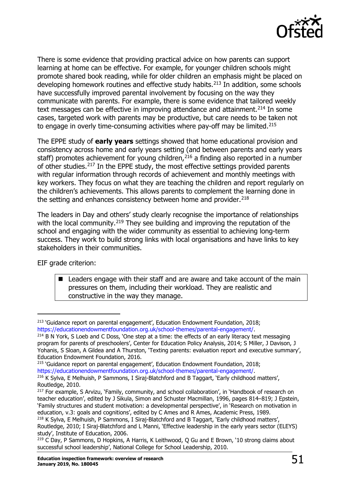

There is some evidence that providing practical advice on how parents can support learning at home can be effective. For example, for younger children schools might promote shared book reading, while for older children an emphasis might be placed on developing homework routines and effective study habits. $213$  In addition, some schools have successfully improved parental involvement by focusing on the way they communicate with parents. For example, there is some evidence that tailored weekly text messages can be effective in improving attendance and attainment.<sup>[214](#page-50-1)</sup> In some cases, targeted work with parents may be productive, but care needs to be taken not to engage in overly time-consuming activities where pay-off may be limited.<sup>[215](#page-50-2)</sup>

The EPPE study of **early years** settings showed that home educational provision and consistency across home and early years setting (and between parents and early years staff) promotes achievement for young children,  $2^{16}$  a finding also reported in a number of other studies.[217](#page-50-4) In the EPPE study, the most effective settings provided parents with regular information through records of achievement and monthly meetings with key workers. They focus on what they are teaching the children and report regularly on the children's achievements. This allows parents to complement the learning done in the setting and enhances consistency between home and provider.<sup>[218](#page-50-5)</sup>

The leaders in Day and others' study clearly recognise the importance of relationships with the local community.<sup>[219](#page-50-6)</sup> They see building and improving the reputation of the school and engaging with the wider community as essential to achieving long-term success. They work to build strong links with local organisations and have links to key stakeholders in their communities.

EIF grade criterion:

■ Leaders engage with their staff and are aware and take account of the main pressures on them, including their workload. They are realistic and constructive in the way they manage.

<span id="page-50-0"></span> $213$  'Guidance report on parental engagement', Education Endowment Foundation, 2018; [https://educationendowmentfoundation.org.uk/school-themes/parental-engagement/.](https://educationendowmentfoundation.org.uk/school-themes/parental-engagement/)

<span id="page-50-1"></span> $214$  B N York, S Loeb and C Doss, 'One step at a time: the effects of an early literacy text messaging program for parents of preschoolers', Center for Education Policy Analysis, 2014; S Miller, J Davison, J Yohanis, S Sloan, A Gildea and A Thurston, 'Texting parents: evaluation report and executive summary', Education Endowment Foundation, 2016.

<span id="page-50-2"></span><sup>&</sup>lt;sup>215</sup> 'Guidance report on parental engagement', Education Endowment Foundation, 2018; [https://educationendowmentfoundation.org.uk/school-themes/parental-engagement/.](https://educationendowmentfoundation.org.uk/school-themes/parental-engagement/)

<span id="page-50-3"></span><sup>&</sup>lt;sup>216</sup> K Sylva, E Melhuish, P Sammons, I Siraj-Blatchford and B Taggart, 'Early childhood matters', Routledge, 2010.

<span id="page-50-4"></span><sup>&</sup>lt;sup>217</sup> For example, S Arvizu, 'Family, community, and school collaboration', in 'Handbook of research on teacher education', edited by J Sikula, Simon and Schuster Macmillan, 1996, pages 814–819; J Epstein, 'Family structures and student motivation: a developmental perspective', in 'Research on motivation in education, v.3: goals and cognitions', edited by C Ames and R Ames, Academic Press, 1989. <sup>218</sup> K Sylva, E Melhuish, P Sammons, I Siraj-Blatchford and B Taggart, 'Early childhood matters',

<span id="page-50-5"></span>Routledge, 2010; I Siraj-Blatchford and L Manni, 'Effective leadership in the early years sector (ELEYS) study', Institute of Education, 2006.

<span id="page-50-6"></span><sup>&</sup>lt;sup>219</sup> C Day, P Sammons, D Hopkins, A Harris, K Leithwood, Q Gu and E Brown, '10 strong claims about successful school leadership', National College for School Leadership, 2010.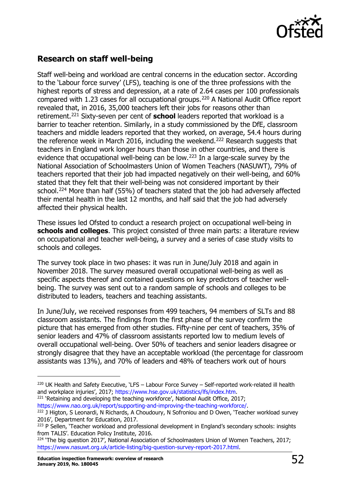

# <span id="page-51-0"></span>**Research on staff well-being**

Staff well-being and workload are central concerns in the education sector. According to the 'Labour force survey' (LFS), teaching is one of the three professions with the highest reports of stress and depression, at a rate of 2.64 cases per 100 professionals compared with 1.23 cases for all occupational groups.[220](#page-51-1) A National Audit Office report revealed that, in 2016, 35,000 teachers left their jobs for reasons other than retirement.[221](#page-51-2) Sixty-seven per cent of **school** leaders reported that workload is a barrier to teacher retention. Similarly, in a study commissioned by the DfE, classroom teachers and middle leaders reported that they worked, on average, 54.4 hours during the reference week in March 2016, including the weekend.<sup>[222](#page-51-3)</sup> Research suggests that teachers in England work longer hours than those in other countries, and there is evidence that occupational well-being can be low.[223](#page-51-4) In a large-scale survey by the National Association of Schoolmasters Union of Women Teachers (NASUWT), 79% of teachers reported that their job had impacted negatively on their well-being, and 60% stated that they felt that their well-being was not considered important by their school.<sup>[224](#page-51-5)</sup> More than half (55%) of teachers stated that the job had adversely affected their mental health in the last 12 months, and half said that the job had adversely affected their physical health.

These issues led Ofsted to conduct a research project on occupational well-being in **schools and colleges**. This project consisted of three main parts: a literature review on occupational and teacher well-being, a survey and a series of case study visits to schools and colleges.

The survey took place in two phases: it was run in June/July 2018 and again in November 2018. The survey measured overall occupational well-being as well as specific aspects thereof and contained questions on key predictors of teacher wellbeing. The survey was sent out to a random sample of schools and colleges to be distributed to leaders, teachers and teaching assistants.

In June/July, we received responses from 499 teachers, 94 members of SLTs and 88 classroom assistants. The findings from the first phase of the survey confirm the picture that has emerged from other studies. Fifty-nine per cent of teachers, 35% of senior leaders and 47% of classroom assistants reported low to medium levels of overall occupational well-being. Over 50% of teachers and senior leaders disagree or strongly disagree that they have an acceptable workload (the percentage for classroom assistants was 13%), and 70% of leaders and 48% of teachers work out of hours

<span id="page-51-2"></span> $221$  'Retaining and developing the teaching workforce', National Audit Office, 2017; [https://www.nao.org.uk/report/supporting-and-improving-the-teaching-workforce/.](http://www.nao.org.uk/report/supporting-and-improving-the-teaching-workforce/)

<span id="page-51-1"></span><sup>&</sup>lt;sup>220</sup> UK Health and Safety Executive, 'LFS - Labour Force Survey - Self-reported work-related ill health and workplace injuries', 2017; [https://www.hse.gov.uk/statistics/lfs/index.htm.](http://www.hse.gov.uk/statistics/lfs/index.htm)

<span id="page-51-3"></span><sup>&</sup>lt;sup>222</sup> J Higton, S Leonardi, N Richards, A Choudoury, N Sofroniou and D Owen, 'Teacher workload survey 2016', Department for Education, 2017.

<span id="page-51-4"></span><sup>&</sup>lt;sup>223</sup> P Sellen, 'Teacher workload and professional development in England's secondary schools: insights from TALIS'. Education Policy Institute, 2016.

<span id="page-51-5"></span><sup>&</sup>lt;sup>224</sup> 'The big question 2017', National Association of Schoolmasters Union of Women Teachers, 2017; [https://www.nasuwt.org.uk/article-listing/big-question-survey-report-2017.html.](http://www.nasuwt.org.uk/article-listing/big-question-survey-report-2017.html)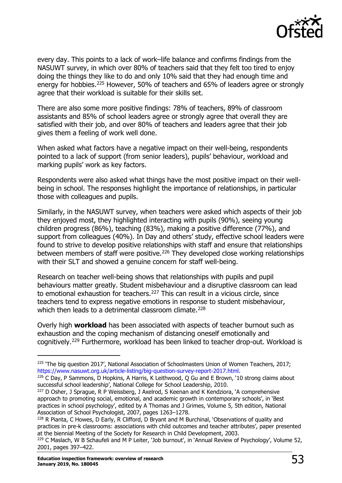

every day. This points to a lack of work–life balance and confirms findings from the NASUWT survey, in which over 80% of teachers said that they felt too tired to enjoy doing the things they like to do and only 10% said that they had enough time and energy for hobbies.<sup>[225](#page-52-0)</sup> However, 50% of teachers and 65% of leaders agree or strongly agree that their workload is suitable for their skills set.

There are also some more positive findings: 78% of teachers, 89% of classroom assistants and 85% of school leaders agree or strongly agree that overall they are satisfied with their job, and over 80% of teachers and leaders agree that their job gives them a feeling of work well done.

When asked what factors have a negative impact on their well-being, respondents pointed to a lack of support (from senior leaders), pupils' behaviour, workload and marking pupils' work as key factors.

Respondents were also asked what things have the most positive impact on their wellbeing in school. The responses highlight the importance of relationships, in particular those with colleagues and pupils.

Similarly, in the NASUWT survey, when teachers were asked which aspects of their job they enjoyed most, they highlighted interacting with pupils (90%), seeing young children progress (86%), teaching (83%), making a positive difference (77%), and support from colleagues (40%). In Day and others' study, effective school leaders were found to strive to develop positive relationships with staff and ensure that relationships between members of staff were positive.<sup>[226](#page-52-1)</sup> They developed close working relationships with their SLT and showed a genuine concern for staff well-being.

Research on teacher well-being shows that relationships with pupils and pupil behaviours matter greatly. Student misbehaviour and a disruptive classroom can lead to emotional exhaustion for teachers.<sup>[227](#page-52-2)</sup> This can result in a vicious circle, since teachers tend to express negative emotions in response to student misbehaviour, which then leads to a detrimental classroom climate.<sup>[228](#page-52-3)</sup>

Overly high **workload** has been associated with aspects of teacher burnout such as exhaustion and the coping mechanism of distancing oneself emotionally and cognitively.[229](#page-52-4) Furthermore, workload has been linked to teacher drop-out. Workload is

<span id="page-52-0"></span><sup>225</sup> 'The big question 2017', National Association of Schoolmasters Union of Women Teachers, 2017; [https://www.nasuwt.org.uk/article-listing/big-question-survey-report-2017.html.](http://www.nasuwt.org.uk/article-listing/big-question-survey-report-2017.html)

<span id="page-52-1"></span><sup>226</sup> C Day, P Sammons, D Hopkins, A Harris, K Leithwood, Q Gu and E Brown, '10 strong claims about successful school leadership', National College for School Leadership, 2010.

<span id="page-52-2"></span> $227$  D Osher, J Sprague, R P Weissberg, J Axelrod, S Keenan and K Kendziora, 'A comprehensive approach to promoting social, emotional, and academic growth in contemporary schools', in 'Best practices in school psychology', edited by A Thomas and J Grimes, Volume 5, 5th edition, National Association of School Psychologist, 2007, pages 1263–1278.

<span id="page-52-3"></span><sup>&</sup>lt;sup>228</sup> R Pianta, C Howes, D Early, R Clifford, D Bryant and M Burchinal, 'Observations of quality and practices in pre-k classrooms: associations with child outcomes and teacher attributes', paper presented at the biennial Meeting of the Society for Research in Child Development, 2003.

<span id="page-52-4"></span> $229$  C Maslach, W B Schaufeli and M P Leiter, 'Job burnout', in 'Annual Review of Psychology', Volume 52, 2001, pages 397–422.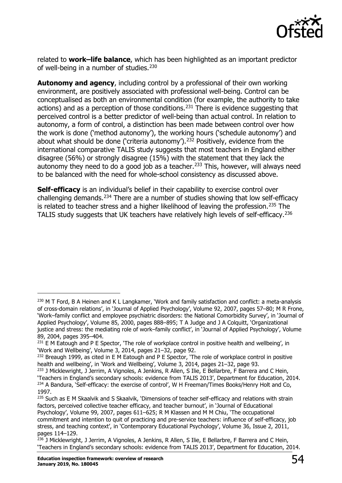

related to **work–life balance**, which has been highlighted as an important predictor of well-being in a number of studies.<sup>[230](#page-53-0)</sup>

**Autonomy and agency**, including control by a professional of their own working environment, are positively associated with professional well-being. Control can be conceptualised as both an environmental condition (for example, the authority to take actions) and as a perception of those conditions.[231](#page-53-1) There is evidence suggesting that perceived control is a better predictor of well-being than actual control. In relation to autonomy, a form of control, a distinction has been made between control over how the work is done ('method autonomy'), the working hours ('schedule autonomy') and about what should be done ('criteria autonomy').[232](#page-53-2) Positively, evidence from the international comparative TALIS study suggests that most teachers in England either disagree (56%) or strongly disagree (15%) with the statement that they lack the autonomy they need to do a good job as a teacher.<sup>[233](#page-53-3)</sup> This, however, will always need to be balanced with the need for whole-school consistency as discussed above.

**Self-efficacy** is an individual's belief in their capability to exercise control over challenging demands.[234](#page-53-4) There are a number of studies showing that low self-efficacy is related to teacher stress and a higher likelihood of leaving the profession.<sup>[235](#page-53-5)</sup> The TALIS study suggests that UK teachers have relatively high levels of self-efficacy.<sup>[236](#page-53-6)</sup>

<span id="page-53-0"></span><sup>&</sup>lt;sup>230</sup> M T Ford, B A Heinen and K L Langkamer, 'Work and family satisfaction and conflict: a meta-analysis of cross-domain relations', in 'Journal of Applied Psychology', Volume 92, 2007, pages 57–80; M R Frone, 'Work–family conflict and employee psychiatric disorders: the National Comorbidity Survey', in 'Journal of Applied Psychology', Volume 85, 2000, pages 888–895; T A Judge and J A Colquitt, 'Organizational justice and stress: the mediating role of work–family conflict', in 'Journal of Applied Psychology', Volume 89, 2004, pages 395–404.

<span id="page-53-1"></span> $^{231}$  E M Eatough and P E Spector, 'The role of workplace control in positive health and wellbeing', in 'Work and Wellbeing', Volume 3, 2014, pages 21–32, page 92.

<span id="page-53-2"></span> $232$  Breaugh 1999, as cited in E M Eatough and P E Spector, 'The role of workplace control in positive health and wellbeing', in 'Work and Wellbeing', Volume 3, 2014, pages 21–32, page 93.

<span id="page-53-4"></span><span id="page-53-3"></span><sup>&</sup>lt;sup>233</sup> J Micklewright, J Jerrim, A Vignoles, A Jenkins, R Allen, S Ilie, E Bellarbre, F Barrera and C Hein, 'Teachers in England's secondary schools: evidence from TALIS 2013', Department for Education, 2014. <sup>234</sup> A Bandura, 'Self-efficacy: the exercise of control', W H Freeman/Times Books/Henry Holt and Co, 1997.

<span id="page-53-5"></span><sup>&</sup>lt;sup>235</sup> Such as E M Skaalvik and S Skaalvik, 'Dimensions of teacher self-efficacy and relations with strain factors, perceived collective teacher efficacy, and teacher burnout', in 'Journal of Educational Psychology', Volume 99, 2007, pages 611–625; R M Klassen and M M Chiu, 'The occupational commitment and intention to quit of practicing and pre-service teachers: influence of self-efficacy, job stress, and teaching context', in 'Contemporary Educational Psychology', Volume 36, Issue 2, 2011, pages 114–129.

<span id="page-53-6"></span><sup>&</sup>lt;sup>236</sup> J Micklewright, J Jerrim, A Vignoles, A Jenkins, R Allen, S Ilie, E Bellarbre, F Barrera and C Hein, 'Teachers in England's secondary schools: evidence from TALIS 2013', Department for Education, 2014.